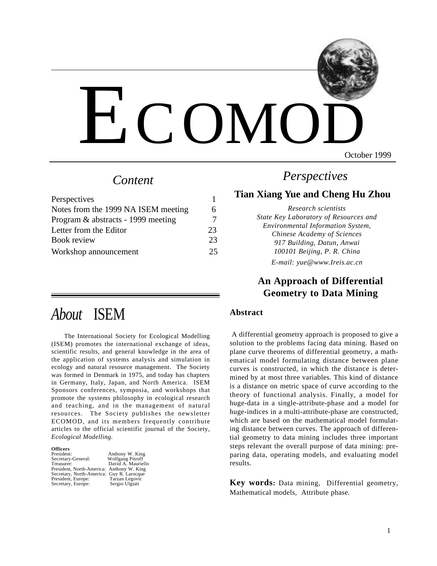

October 1999

# *Content*

| Perspectives                        |    |
|-------------------------------------|----|
| Notes from the 1999 NA ISEM meeting |    |
| Program & abstracts - 1999 meeting  |    |
| Letter from the Editor              | 23 |
| Book review                         | 23 |
| Workshop announcement               | 25 |

# *About* ISEM

The International Society for Ecological Modelling (ISEM) promotes the international exchange of ideas, scientific results, and general knowledge in the area of the application of systems analysis and simulation in ecology and natural resource management. The Society was formed in Denmark in 1975, and today has chapters in Germany, Italy, Japan, and North America. ISEM Sponsors conferences, symposia, and workshops that promote the systems philosophy in ecological research and teaching, and in the management of natural resources. The Society publishes the newsletter ECOMOD, and its members frequently contribute articles to the official scientific journal of the Society, *Ecological Modelling*.

#### **Officers**

| President:                                | Anthony W. King         |
|-------------------------------------------|-------------------------|
| Secretary-General:                        | <b>Wolfgang Pitroff</b> |
| Treasurer:                                | David A. Mauriello      |
| President, North-America: Anthony W. King |                         |
| Secretary, North-America: Guy R. Larocque |                         |
| President, Europe:                        | Tarzan Legovic          |
| Secretary, Europe:                        | Sergio Ulgiati          |

# *Perspectives*

## **Tian Xiang Yue and Cheng Hu Zhou**

*Research scientists State Key Laboratory of Resources and Environmental Information System, Chinese Academy of Sciences 917 Building, Datun, Anwai 100101 Beijing, P. R. China*

*E-mail: yue@www.Ireis.ac.cn*

### **An Approach of Differential Geometry to Data Mining**

#### **Abstract**

 A differential geometry approach is proposed to give a solution to the problems facing data mining. Based on plane curve theorems of differential geometry, a mathematical model formulating distance between plane curves is constructed, in which the distance is determined by at most three variables. This kind of distance is a distance on metric space of curve according to the theory of functional analysis. Finally, a model for huge-data in a single-attribute-phase and a model for huge-indices in a multi-attribute-phase are constructed, which are based on the mathematical model formulating distance between curves. The approach of differential geometry to data mining includes three important steps relevant the overall purpose of data mining: preparing data, operating models, and evaluating model results.

**Key words:** Data mining, Differential geometry, Mathematical models, Attribute phase.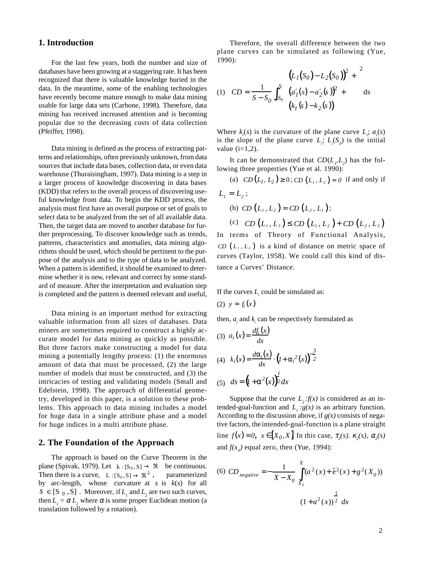#### **1. Introduction**

For the last few years, both the number and size of databases have been growing at a staggering rate. It has been recognized that there is valuable knowledge buried in the data. In the meantime, some of the enabling technologies have recently become mature enough to make data mining usable for large data sets (Carbone, 1998). Therefore, data mining has received increased attention and is becoming popular due to the decreasing costs of data collection (Pfeiffer, 1998).

Data mining is defined as the process of extracting patterns and relationships, often previously unknown, from data sources that include data bases, collection data, or even data warehouse (Thuraisingham, 1997). Data mining is a step in a larger process of knowledge discovering in data bases (KDD) that refers to the overall process of discovering useful knowledge from data. To begin the KDD process, the analysis must first have an overall purpose or set of goals to select data to be analyzed from the set of all available data. Then, the target data are moved to another database for further preprocessing. To discover knowledge such as trends, patterns, characteristics and anomalies, data mining algorithms should be used, which should be pertinent to the purpose of the analysis and to the type of data to be analyzed. When a pattern is identified, it should be examined to determine whether it is new, relevant and correct by some standard of measure. After the interpretation and evaluation step is completed and the pattern is deemed relevant and useful,

Data mining is an important method for extracting valuable information from all sizes of databases. Data miners are sometimes required to construct a highly accurate model for data mining as quickly as possible. But three factors make constructing a model for data mining a potentially lengthy process: (1) the enormous amount of data that must be processed, (2) the large number of models that must be constructed, and (3) the intricacies of testing and validating models (Small and Edelstein, 1998). The approach of differential geometry, developed in this paper, is a solution to these problems. This approach to data mining includes a model for huge data in a single attribute phase and a model for huge indices in a multi attribute phase.

#### **2. The Foundation of the Approach**

The approach is based on the Curve Theorem in the plane (Spivak, 1979). Let  $k : [S_0, S] \to \Re$  be continuous. Then there is a curve,  $L:[S_0, S] \to \Re^2$ , parameterized by arc-length, whose curvature at *s* is *k*(*s*) for all  $S \in [S_0, S]$ . Moreover, if  $L_1$  and  $L_2$  are two such curves, then  $L_1 = \alpha L_2$  where  $\alpha$  is some proper Euclidean motion (a translation followed by a rotation).

Therefore, the overall difference between the two plane curves can be simulated as following (Yue, 1990):

(1) 
$$
CD = \frac{1}{S - S_0} \int_{S_0}^{S} \left\{ \frac{(L_1(S_0) - L_2(S_0))^2}{(a'_1(s) - a'_2(s))^2 + 1} \right\} ds
$$

Where  $k_i(s)$  is the curvature of the plane curve  $L_i$ ;  $a_i(s)$ is the slope of the plane curve  $L_i$ ;  $L_i(S_o)$  is the initial value  $(i=1,2)$ .

It can be demonstrated that  $CD(L<sub>p</sub>, L<sub>2</sub>)$  has the following three properties (Yue et al. 1990):

(a)  $CD(L_1, L_2) \ge 0$ ;  $CD(L_1, L_2) = 0$  if and only if  $L_1 = L_2$ ; (b) *CD*  $(L_1, L_2) = CD(L_2, L_1);$ (c)  $CD(L_1, L_3) \le CD(L_1, L_2) + CD(L_2, L_3)$ In terms of Theory of Functional Analysis,

*CD*  $(L_1, L_2)$  is a kind of distance on metric space of curves (Taylor, 1958). We could call this kind of distance a Curves' Distance.

If the curves  $L<sub>i</sub>$  could be simulated as:

$$
(2) \ \ y=f_i\left(x\right)
$$

then,  $a_i$  and  $k_i$  can be respectively formulated as

(3) 
$$
a_i(x) = \frac{df_i(x)}{dx}
$$
  
\n(4)  $k_i(x) = \frac{d\alpha_i(x)}{dx} \cdot (1 + \alpha_i^2(x))^{\frac{3}{2}}$   
\n(5)  $ds = (1 + \alpha^2(x))^{\frac{1}{2}} dx$ 

Suppose that the curve  $L_2$ : $f(x)$  is considered as an intended-goal-function and  $L_1 : g(x)$  is an arbitrary function. According to the discussion above, if  $g(x)$  consists of negative factors, the intended-goal-function is a plane straight line  $f(x) = 0$ ,  $x \in [X_0, X]$  In this case,  $\tau_2(s)$ .  $\kappa_2(s)$ ,  $\alpha_2(s)$ and  $f(x_0)$  equal zero, then (Yue, 1994):

(6) 
$$
CD_{negative} = -\frac{1}{X - X_0} \int_{X_0}^{X} (a^2(x) + \hat{e}^2(x) + g^2(X_0))
$$
  

$$
(1 + a^2(x))^{\frac{1}{2}} dx
$$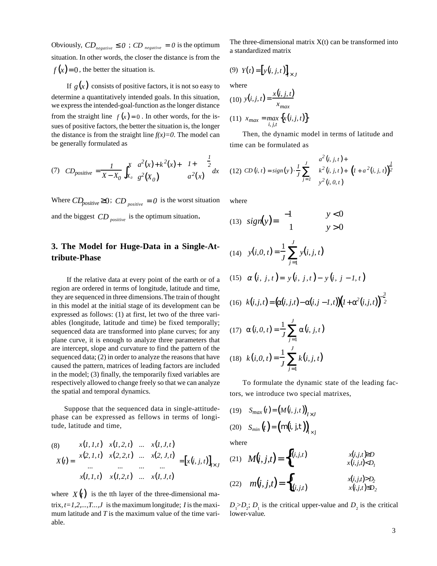Obviously,  $CD_{\text{negative}} \leq 0$ ;  $CD_{\text{negative}} = 0$  is the optimum situation. In other words, the closer the distance is from the  $f(x)=0$ , the better the situation is.

If  $g(x)$  consists of positive factors, it is not so easy to determine a quantitatively intended goals. In this situation, we express the intended-goal-function as the longer distance from the straight line  $f(x) = 0$ . In other words, for the issues of positive factors, the better the situation is, the longer the distance is from the straight line  $f(x)=0$ . The model can be generally formulated as

(7) 
$$
CD_{positive} = \frac{1}{X - X_0} \int_{X_0}^{X} \left( \frac{a^2(x) + k^2(x)}{g^2(X_0)} \right) \left( \frac{1 + k}{g^2(X)} \right)^2 dx
$$

Where  $CD_{positive} \geq 0$ ;  $CD_{positive} = 0$  is the worst situation and the biggest *CD positive* is the optimum situation.

### **3. The Model for Huge-Data in a Single-Attribute-Phase**

If the relative data at every point of the earth or of a region are ordered in terms of longitude, latitude and time, they are sequenced in three dimensions. The train of thought in this model at the initial stage of its development can be expressed as follows: (1) at first, let two of the three variables (longitude, latitude and time) be fixed temporally; sequenced data are transformed into plane curves; for any plane curve, it is enough to analyze three parameters that are intercept, slope and curvature to find the pattern of the sequenced data; (2) in order to analyze the reasons that have caused the pattern, matrices of leading factors are included in the model; (3) finally, the temporarily fixed variables are respectively allowed to change freely so that we can analyze the spatial and temporal dynamics.

Suppose that the sequenced data in single-attitudephase can be expressed as fellows in terms of longitude, latitude and time,

(8)  
\n
$$
X(t) = \begin{bmatrix} x(1, 1, t) & x(1, 2, t) & \dots & x(1, J, t) \\ x(2, 1, t) & x(2, 2, t) & \dots & x(2, J, t) \\ \dots & \dots & \dots & \dots \\ x(I, 1, t) & x(I, 2, t) & \dots & x(I, J, t) \end{bmatrix} = [x(i, j, t)]_{I \times J}
$$

where  $X(t)$  is the tth layer of the three-dimensional matrix, *t=1,2,...,T...,J* is the maximum longitude; *I* is the maximum latitude and *T* is the maximum value of the time variable.

The three-dimensional matrix  $X(t)$  can be transformed into a standardized matrix

$$
(9) Y(t) = [y(i, j, t)]_{t \times J}
$$

where

(10) 
$$
y(i, j, t) = \frac{x(i, j, t)}{x_{max}}
$$
  
(11)  $x_{max} = max_{i, j, t} \{x(i, j, t)\}$ 

Then, the dynamic model in terms of latitude and time can be formulated as

(12) 
$$
CD(i, t) = sign(y) \cdot \frac{1}{J} \sum_{j=1}^{J} \left( \begin{pmatrix} a^2(i, j, t) + \\ k^2(i, j, t) + \\ y^2(i, 0, t) \end{pmatrix} (1 + a^2(i, j, t)) \frac{1}{2} \right)
$$

where

$$
(13) \quad sign(y) = \begin{cases} -1 & y < 0 \\ 1 & y > 0 \end{cases}
$$

(14) 
$$
y(i, 0, t) = \frac{1}{J} \sum_{j=1}^{J} y(i, j, t)
$$

(15) 
$$
\alpha(i, j, t) = y(i, j, t) - y(i, j - 1, t)
$$

(16) 
$$
k(i, j, t) = (\alpha(i, j, t) - \alpha(i, j - 1, t)) (1 + \alpha^2(i, j, t))^{-\frac{3}{2}}
$$

(17) 
$$
\alpha(i, 0, t) = \frac{1}{J} \sum_{j=1}^{J} \alpha(i, j, t)
$$
  
(18)  $k(i, 0, t) = \frac{1}{J} \sum_{j=1}^{J} k(i, j, t)$ 

To formulate the dynamic state of the leading factors, we introduce two special matrixes,

(19) 
$$
S_{max}(t) = (M(i, j, t))_{I \times J}
$$
  
(20) 
$$
S_{min}(t) = (m(i, j, t))_{1 \times J}
$$

where

(21) 
$$
M(i, j, t) = \begin{cases} x(i, j, t) & x(i, j, t) \ge D \\ 0 & x(i, j, t) > D_1 \end{cases}
$$
  
\n(22)  $m(i, j, t) = \begin{cases} 0 & x(i, j, t) > D_2 \\ x(i, j, t) & x(i, j, t) \le D_2 \end{cases}$ 

 $D_1 > D_2$ ;  $D_1$  is the critical upper-value and  $D_2$  is the critical lower-value.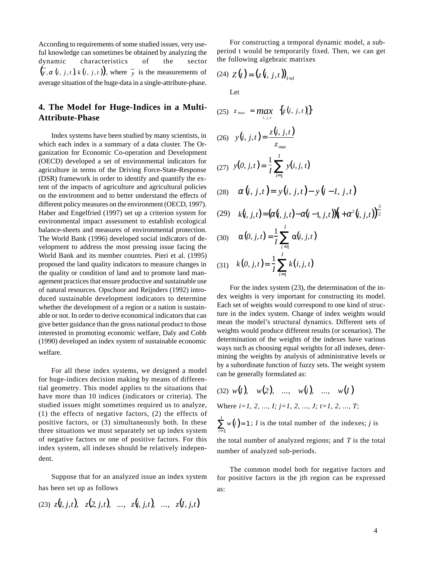According to requirements of some studied issues, very useful knowledge can sometimes be obtained by analyzing the dynamic characteristics of the sector  $(\overline{y}, \alpha (i, j, t) \times (i, j, t))$ , where  $\overline{y}$  is the measurements of average situation of the huge-data in a single-attribute-phase.

### **4. The Model for Huge-Indices in a Multi-Attribute-Phase**

Index systems have been studied by many scientists, in which each index is a summary of a data cluster. The Organization for Economic Co-operation and Development (OECD) developed a set of environmental indicators for agriculture in terms of the Driving Force-State-Response (DSR) framework in order to identify and quantify the extent of the impacts of agriculture and agricultural policies on the environment and to better understand the effects of different policy measures on the environment (OECD, 1997). Haber and Engelfried (1997) set up a criterion system for environmental impact assessment to establish ecological balance-sheets and measures of environmental protection. The World Bank (1996) developed social indicators of development to address the most pressing issue facing the World Bank and its member countries. Pieri et al. (1995) proposed the land quality indicators to measure changes in the quality or condition of land and to promote land management practices that ensure productive and sustainable use of natural resources. Opschoor and Reijnders (1992) introduced sustainable development indicators to determine whether the development of a region or a nation is sustainable or not. In order to derive economical indicators that can give better guidance than the gross national product to those interested in promoting economic welfare, Daly and Cobb (1990) developed an index system of sustainable economic welfare.

For all these index systems, we designed a model for huge-indices decision making by means of differential geometry. This model applies to the situations that have more than 10 indices (indicators or criteria). The studied issues might sometimes required us to analyze, (1) the effects of negative factors, (2) the effects of positive factors, or (3) simultaneously both. In these three situations we must separately set up index system of negative factors or one of positive factors. For this index system, all indexes should be relatively independent.

Suppose that for an analyzed issue an index system has been set up as follows

(23) 
$$
z(l, j, t), z(2, j, t), ..., z(i, j, t), ..., z(l, j, t)
$$

For constructing a temporal dynamic model, a subperiod t would be temporarily fixed. Then, we can get the following algebraic matrixes

$$
(24) Z(t) = (z(i, j, t))_{I \approx J}
$$

Let

(25) 
$$
z_{max} = max_{i,j,t} \{z(i, j, t)\}
$$
  
\n(26)  $y(i, j, t) = \frac{z(i, j, t)}{z_{max}}$   
\n(27)  $y(0, j, t) = \frac{1}{I} \sum_{i=1}^{I} y(i, j, t)$   
\n(28)  $\alpha(i, j, t) = y(i, j, t) - y(i - 1, j, t)$ 

(29) 
$$
k(i, j, t) = (\alpha(i, j, t) - \alpha(i - 1, j, t))((1 + \alpha^2(i, j, t)))^{\frac{1}{2}}
$$

(30) 
$$
\alpha(0, j, t) = \frac{1}{I} \sum_{i=1}^{I} \alpha(i, j, t)
$$
  
(31) 
$$
k(0, j, t) = \frac{1}{I} \sum_{i=1}^{I} k(i, j, t)
$$

For the index system (23), the determination of the index weights is very important for constructing its model. Each set of weights would correspond to one kind of structure in the index system. Change of index weights would mean the model's structural dynamics. Different sets of weights would produce different results (or scenarios). The determination of the weights of the indexes have various ways such as choosing equal weights for all indexes, determining the weights by analysis of administrative levels or by a subordinate function of fuzzy sets. The weight system can be generally formulated as:

$$
(32) w(l), w(2), \ldots, w(i), \ldots, w(l)
$$

Where *i=1, 2, ..., I; j=1, 2, ..., J; t=1, 2, ..., T*;

 $\sum w(i) = 1$ ; *I* is the total number of the indexes; *j* is  $\sum_{i=1}^{j} w(i) = 1$ i= 1

the total number of analyzed regions; and *T* is the total number of analyzed sub-periods.

The common model both for negative factors and for positive factors in the jth region can be expressed as:

3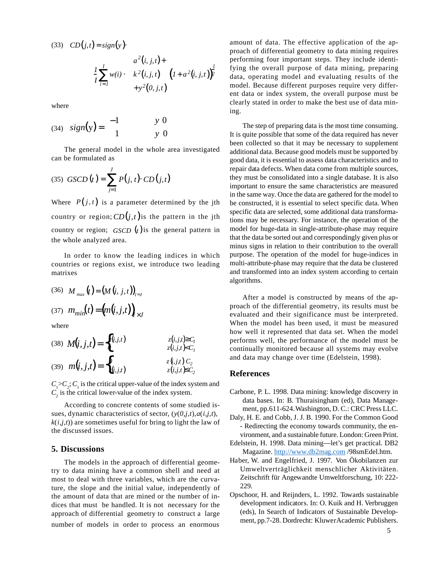$(CD(j,t) = sign(y))$ 

$$
\frac{1}{I} \sum_{i=1}^{I} w(i) \cdot \begin{pmatrix} a^{2}(i, j, t) + \\ k^{2}(i, j, t) \\ +y^{2}(0, j, t) \end{pmatrix} (I + a^{2}(i, j, t)) \frac{1}{I}
$$

where

$$
(34) \quad sign(y) = \begin{cases} -1 & y \langle 0 \\ 1 & y \rangle 0 \end{cases}
$$

The general model in the whole area investigated can be formulated as

(35) 
$$
GSCD(t) = \sum_{j=1}^{J} P(j, t) \cdot CD(j, t)
$$

Where  $P(j, t)$  is a parameter determined by the jth country or region;  $CD(j, t)$  is the pattern in the jth country or region; *GSCD*  $(t)$  is the general pattern in the whole analyzed area.

In order to know the leading indices in which countries or regions exist, we introduce two leading matrixes

(36) 
$$
M_{max}(t) = (M(i, j, t))_{i \approx J}
$$
  
(37)  $m_{min}(t) = (m(i, j, t))_{i \times J}$ 

where

(38) 
$$
M(i, j, t) = \begin{cases} \overline{z}(i, j, t) & z(i, j, t) \ge C_1 \\ \underline{v} & z(i, j, t) \le C_1 \end{cases}
$$
  
\n(39)  $m(i, j, t) = \begin{cases} \overline{v} & z(i, j, t) \ge C_2 \\ \overline{z}(i, j, t) & z(i, j, t) \le C_2 \end{cases}$ 

 $C_1 > C_2$ ;  $C_1$  is the critical upper-value of the index system and  $C_2$  is the critical lower-value of the index system.

According to concrete contents of some studied issues, dynamic characteristics of sector,  $(y(0,j,t),a(i,j,t))$ ,  $k(i,j,t)$  are sometimes useful for bring to light the law of the discussed issues.

#### **5. Discussions**

The models in the approach of differential geometry to data mining have a common shell and need at most to deal with three variables, which are the curvature, the slope and the initial value, independently of the amount of data that are mined or the number of indices that must be handled. It is not necessary for the approach of differential geometry to construct a large number of models in order to process an enormous

amount of data. The effective application of the approach of differential geometry to data mining requires performing four important steps. They include identifying the overall purpose of data mining, preparing data, operating model and evaluating results of the model. Because different purposes require very different data or index system, the overall purpose must be clearly stated in order to make the best use of data mining.

The step of preparing data is the most time consuming. It is quite possible that some of the data required has never been collected so that it may be necessary to supplement additional data. Because good models must be supported by good data, it is essential to assess data characteristics and to repair data defects. When data come from multiple sources, they must be consolidated into a single database. It is also important to ensure the same characteristics are measured in the same way. Once the data are gathered for the model to be constructed, it is essential to select specific data. When specific data are selected, some additional data transformations may be necessary. For instance, the operation of the model for huge-data in single-attribute-phase may require that the data be sorted out and correspondingly given plus or minus signs in relation to their contribution to the overall purpose. The operation of the model for huge-indices in multi-attribute-phase may require that the data be clustered and transformed into an index system according to certain algorithms.

After a model is constructed by means of the approach of the differential geometry, its results must be evaluated and their significance must be interpreted. When the model has been used, it must be measured how well it represented that data set. When the model performs well, the performance of the model must be continually monitored because all systems may evolve and data may change over time (Edelstein, 1998).

#### **References**

- Carbone, P. L. 1998. Data mining: knowledge discovery in data bases. In: B. Thuraisingham (ed), Data Management, pp.611-624. Washington, D. C.: CRC Press LLC.
- Daly, H. E. and Cobb, J. J. B. 1990. For the Common Good - Redirecting the economy towards community, the environment, and a sustainable future. London: Green Print.
- Edelstein, H. 1998. Data mining—let's get practical. DB2 Magazine. http://www.db2mag.com /98smEdel.htm.
- Haber, W. and Engelfried, J. 1997. Von Ökobilanzen zur Umweltverträglichkeit menschlicher Aktivitäten. Zeitschrift für Angewandte Umweltforschung, 10: 222- 229.
- Opschoor, H. and Reijnders, L. 1992. Towards sustainable development indicators. In: O. Kuik and H. Verbruggen (eds), In Search of Indicators of Sustainable Development, pp.7-28. Dordrecht: Kluwer Academic Publishers.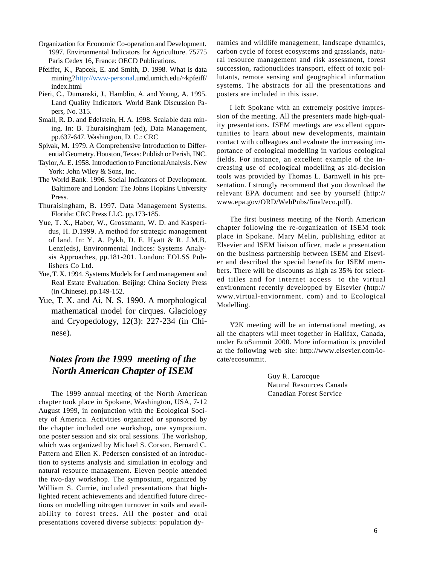- Organization for Economic Co-operation and Development. 1997. Environmental Indicators for Agriculture. 75775 Paris Cedex 16, France: OECD Publications.
- Pfeiffer, K., Papcek, E. and Smith, D. 1998. What is data mining? http://www-personal.umd.umich.edu/~kpfeiff/ index.html
- Pieri, C., Dumanski, J., Hamblin, A. and Young, A. 1995. Land Quality Indicators. World Bank Discussion Papers, No. 315.
- Small, R. D. and Edelstein, H. A. 1998. Scalable data mining. In: B. Thuraisingham (ed), Data Management, pp.637-647. Washington, D. C.: CRC
- Spivak, M. 1979. A Comprehensive Introduction to Differential Geometry. Houston, Texas: Publish or Perish, INC.
- Taylor, A. E. 1958. Introduction to Functional Analysis. New York: John Wiley & Sons, Inc.
- The World Bank. 1996. Social Indicators of Development. Baltimore and London: The Johns Hopkins University Press.
- Thuraisingham, B. 1997. Data Management Systems. Florida: CRC Press LLC. pp.173-185.
- Yue, T. X., Haber, W., Grossmann, W. D. and Kasperidus, H. D.1999. A method for strategic management of land. In: Y. A. Pykh, D. E. Hyatt & R. J.M.B. Lenz(eds), Environmental Indices: Systems Analysis Approaches, pp.181-201. London: EOLSS Publishers Co Ltd.
- Yue, T. X. 1994. Systems Models for Land management and Real Estate Evaluation. Beijing: China Society Press (in Chinese). pp.149-152.
- Yue, T. X. and Ai, N. S. 1990. A morphological mathematical model for cirques. Glaciology and Cryopedology, 12(3): 227-234 (in Chinese).

## *Notes from the 1999 meeting of the North American Chapter of ISEM*

The 1999 annual meeting of the North American chapter took place in Spokane, Washington, USA, 7-12 August 1999, in conjunction with the Ecological Society of America. Activities organized or sponsored by the chapter included one workshop, one symposium, one poster session and six oral sessions. The workshop, which was organized by Michael S. Corson, Bernard C. Pattern and Ellen K. Pedersen consisted of an introduction to systems analysis and simulation in ecology and natural resource management. Eleven people attended the two-day workshop. The symposium, organized by William S. Currie, included presentations that highlighted recent achievements and identified future directions on modelling nitrogen turnover in soils and availability to forest trees. All the poster and oral presentations covered diverse subjects: population dynamics and wildlife management, landscape dynamics, carbon cycle of forest ecosystems and grasslands, natural resource management and risk assessment, forest succession, radionuclides transport, effect of toxic pollutants, remote sensing and geographical information systems. The abstracts for all the presentations and posters are included in this issue.

I left Spokane with an extremely positive impression of the meeting. All the presenters made high-quality presentations. ISEM meetings are excellent opportunities to learn about new developments, maintain contact with colleagues and evaluate the increasing importance of ecological modelling in various ecological fields. For instance, an excellent example of the increasing use of ecological modelling as aid-decision tools was provided by Thomas L. Barnwell in his presentation. I strongly recommend that you download the relevant EPA document and see by yourself (http:// www.epa.gov/ORD/WebPubs/final/eco.pdf).

The first business meeting of the North American chapter following the re-organization of ISEM took place in Spokane. Mary Melin, publishing editor at Elsevier and ISEM liaison officer, made a presentation on the business partnership between ISEM and Elsevier and described the special benefits for ISEM members. There will be discounts as high as 35% for selected titles and for internet access to the virtual environment recently developped by Elsevier (http:// www.virtual-enviornment. com) and to Ecological Modelling.

Y2K meeting will be an international meeting, as all the chapters will meet together in Halifax, Canada, under EcoSummit 2000. More information is provided at the following web site: http://www.elsevier.com/locate/ecosummit.

> Guy R. Larocque Natural Resources Canada Canadian Forest Service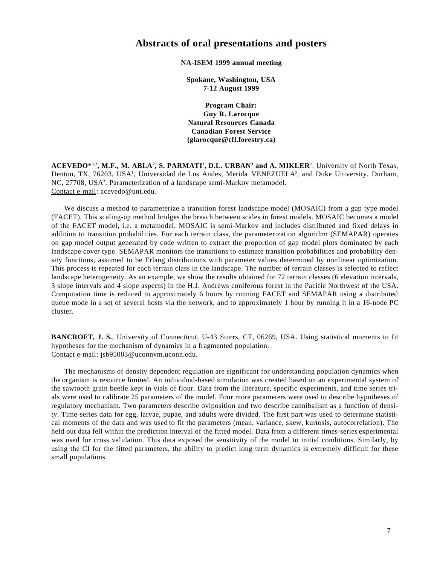### **Abstracts of oral presentations and posters**

#### **NA-ISEM 1999 annual meeting**

**Spokane, Washington, USA 7-12 August 1999**

**Program Chair: Guy R. Larocque Natural Resources Canada Canadian Forest Service (glarocque@cfl.forestry.ca)**

 $\mathbf{ACEVEDO*}^{1,2}$ , M.F., M. ABLA<sup>2</sup>, S. PARMATI<sup>1</sup>, D.L. URBAN<sup>3</sup> and A. MIKLER<sup>1</sup>. University of North Texas, Denton, TX, 76203, USA<sup>1</sup>, Universidad de Los Andes, Merida VENEZUELA<sup>2</sup>, and Duke University, Durham, NC, 27708, USA<sup>3</sup>. Parameterization of a landscape semi-Markov metamodel. Contact e-mail: acevedo@unt.edu.

We discuss a method to parameterize a transition forest landscape model (MOSAIC) from a gap type model (FACET). This scaling-up method bridges the breach between scales in forest models. MOSAIC becomes a model of the FACET model, i.e. a metamodel. MOSAIC is semi-Markov and includes distributed and fixed delays in addition to transition probabilities. For each terrain class, the parameterization algorithm (SEMAPAR) operates on gap model output generated by code written to extract the proportion of gap model plots dominated by each landscape cover type. SEMAPAR monitors the transitions to estimate transition probabilities and probability density functions, assumed to be Erlang distributions with parameter values determined by nonlinear optimization. This process is repeated for each terrain class in the landscape. The number of terrain classes is selected to reflect landscape heterogeneity. As an example, we show the results obtained for 72 terrain classes (6 elevation intervals, 3 slope intervals and 4 slope aspects) in the H.J. Andrews coniferous forest in the Pacific Northwest of the USA. Computation time is reduced to approximately 6 hours by running FACET and SEMAPAR using a distributed queue mode in a set of several hosts via the network, and to approximately 1 hour by running it in a 16-node PC cluster.

**BANCROFT, J. S.**, University of Connecticut, U-43 Storrs, CT, 06269, USA. Using statistical moments to fit hypotheses for the mechanism of dynamics in a fragmented population. Contact e-mail: jsb95003@uconnvm.uconn.edu.

The mechanisms of density dependent regulation are significant for understanding population dynamics when the organism is resource limited. An individual-based simulation was created based on an experimental system of the sawtooth grain beetle kept in vials of flour. Data from the literature, specific experiments, and time series trials were used to calibrate 25 parameters of the model. Four more parameters were used to describe hypotheses of regulatory mechanism. Two parameters describe oviposition and two describe cannibalism as a function of density. Time-series data for egg, larvae, pupae, and adults were divided. The first part was used to determine statistical moments of the data and was used to fit the parameters (mean, variance, skew, kurtosis, autocorrelation). The held out data fell within the prediction interval of the fitted model. Data from a different times-series experimental was used for cross validation. This data exposed the sensitivity of the model to initial conditions. Similarly, by using the CI for the fitted parameters, the ability to predict long term dynamics is extremely difficult for these small populations.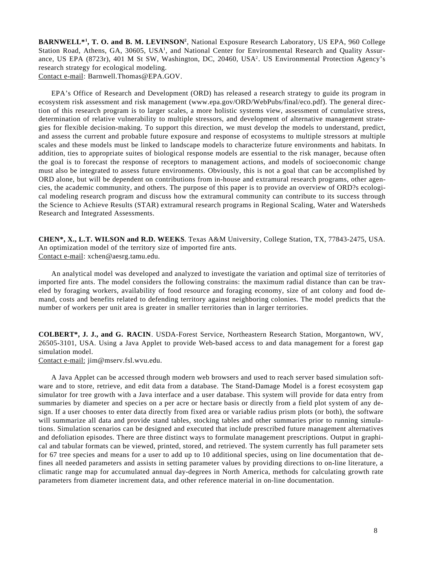**BARNWELL\*1 , T. O. and B. M. LEVINSON2** , National Exposure Research Laboratory, US EPA, 960 College Station Road, Athens, GA, 30605, USA<sup>1</sup>, and National Center for Environmental Research and Quality Assurance, US EPA (8723r), 401 M St SW, Washington, DC, 20460, USA2. US Environmental Protection Agency's research strategy for ecological modeling. Contact e-mail: Barnwell.Thomas@EPA.GOV.

EPA's Office of Research and Development (ORD) has released a research strategy to guide its program in ecosystem risk assessment and risk management (www.epa.gov/ORD/WebPubs/final/eco.pdf). The general direction of this research program is to larger scales, a more holistic systems view, assessment of cumulative stress, determination of relative vulnerability to multiple stressors, and development of alternative management strategies for flexible decision-making. To support this direction, we must develop the models to understand, predict, and assess the current and probable future exposure and response of ecosystems to multiple stressors at multiple scales and these models must be linked to landscape models to characterize future environments and habitats. In addition, ties to appropriate suites of biological response models are essential to the risk manager, because often the goal is to forecast the response of receptors to management actions, and models of socioeconomic change must also be integrated to assess future environments. Obviously, this is not a goal that can be accomplished by ORD alone, but will be dependent on contributions from in-house and extramural research programs, other agencies, the academic community, and others. The purpose of this paper is to provide an overview of ORD?s ecological modeling research program and discuss how the extramural community can contribute to its success through the Science to Achieve Results (STAR) extramural research programs in Regional Scaling, Water and Watersheds Research and Integrated Assessments.

**CHEN\*, X., L.T. WILSON and R.D. WEEKS**. Texas A&M University, College Station, TX, 77843-2475, USA. An optimization model of the territory size of imported fire ants. Contact e-mail: xchen@aesrg.tamu.edu.

An analytical model was developed and analyzed to investigate the variation and optimal size of territories of imported fire ants. The model considers the following constrains: the maximum radial distance than can be traveled by foraging workers, availability of food resource and foraging economy, size of ant colony and food demand, costs and benefits related to defending territory against neighboring colonies. The model predicts that the number of workers per unit area is greater in smaller territories than in larger territories.

**COLBERT\*, J. J., and G. RACIN**. USDA-Forest Service, Northeastern Research Station, Morgantown, WV, 26505-3101, USA. Using a Java Applet to provide Web-based access to and data management for a forest gap simulation model.

Contact e-mail: jim@mserv.fsl.wvu.edu.

A Java Applet can be accessed through modern web browsers and used to reach server based simulation software and to store, retrieve, and edit data from a database. The Stand-Damage Model is a forest ecosystem gap simulator for tree growth with a Java interface and a user database. This system will provide for data entry from summaries by diameter and species on a per acre or hectare basis or directly from a field plot system of any design. If a user chooses to enter data directly from fixed area or variable radius prism plots (or both), the software will summarize all data and provide stand tables, stocking tables and other summaries prior to running simulations. Simulation scenarios can be designed and executed that include prescribed future management alternatives and defoliation episodes. There are three distinct ways to formulate management prescriptions. Output in graphical and tabular formats can be viewed, printed, stored, and retrieved. The system currently has full parameter sets for 67 tree species and means for a user to add up to 10 additional species, using on line documentation that defines all needed parameters and assists in setting parameter values by providing directions to on-line literature, a climatic range map for accumulated annual day-degrees in North America, methods for calculating growth rate parameters from diameter increment data, and other reference material in on-line documentation.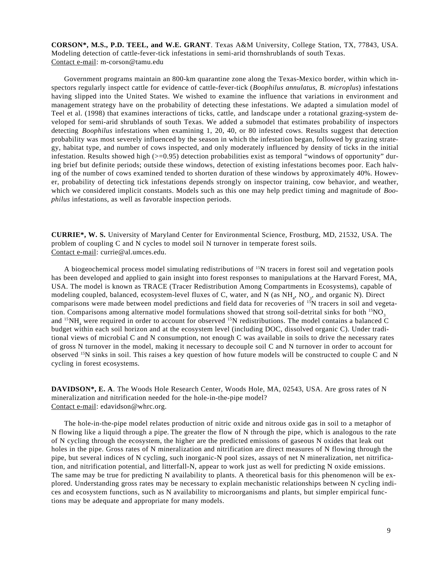**CORSON\*, M.S., P.D. TEEL, and W.E. GRANT**. Texas A&M University, College Station, TX, 77843, USA. Modeling detection of cattle-fever-tick infestations in semi-arid thornshrublands of south Texas. Contact e-mail: m-corson@tamu.edu

Government programs maintain an 800-km quarantine zone along the Texas-Mexico border, within which inspectors regularly inspect cattle for evidence of cattle-fever-tick (*Boophilus annulatus*, *B. microplus*) infestations having slipped into the United States. We wished to examine the influence that variations in environment and management strategy have on the probability of detecting these infestations. We adapted a simulation model of Teel et al. (1998) that examines interactions of ticks, cattle, and landscape under a rotational grazing-system developed for semi-arid shrublands of south Texas. We added a submodel that estimates probability of inspectors detecting *Boophilus* infestations when examining 1, 20, 40, or 80 infested cows. Results suggest that detection probability was most severely influenced by the season in which the infestation began, followed by grazing strategy, habitat type, and number of cows inspected, and only moderately influenced by density of ticks in the initial infestation. Results showed high  $(>=0.95)$  detection probabilities exist as temporal "windows of opportunity" during brief but definite periods; outside these windows, detection of existing infestations becomes poor. Each halving of the number of cows examined tended to shorten duration of these windows by approximately 40%. However, probability of detecting tick infestations depends strongly on inspector training, cow behavior, and weather, which we considered implicit constants. Models such as this one may help predict timing and magnitude of *Boophilus* infestations, as well as favorable inspection periods.

**CURRIE\*, W. S.** University of Maryland Center for Environmental Science, Frostburg, MD, 21532, USA. The problem of coupling C and N cycles to model soil N turnover in temperate forest soils. Contact e-mail: currie@al.umces.edu.

A biogeochemical process model simulating redistributions of 15N tracers in forest soil and vegetation pools has been developed and applied to gain insight into forest responses to manipulations at the Harvard Forest, MA, USA. The model is known as TRACE (Tracer Redistribution Among Compartments in Ecosystems), capable of modeling coupled, balanced, ecosystem-level fluxes of C, water, and N (as NH<sub>4</sub>, NO<sub>3</sub>, and organic N). Direct comparisons were made between model predictions and field data for recoveries of  $15N$  tracers in soil and vegetation. Comparisons among alternative model formulations showed that strong soil-detrital sinks for both  $15NO<sub>3</sub>$ and  $15NH_4$  were required in order to account for observed  $15N$  redistributions. The model contains a balanced C budget within each soil horizon and at the ecosystem level (including DOC, dissolved organic C). Under traditional views of microbial C and N consumption, not enough C was available in soils to drive the necessary rates of gross N turnover in the model, making it necessary to decouple soil C and N turnover in order to account for observed 15N sinks in soil. This raises a key question of how future models will be constructed to couple C and N cycling in forest ecosystems.

**DAVIDSON\*, E. A**. The Woods Hole Research Center, Woods Hole, MA, 02543, USA. Are gross rates of N mineralization and nitrification needed for the hole-in-the-pipe model? Contact e-mail: edavidson@whrc.org.

The hole-in-the-pipe model relates production of nitric oxide and nitrous oxide gas in soil to a metaphor of N flowing like a liquid through a pipe. The greater the flow of N through the pipe, which is analogous to the rate of N cycling through the ecosystem, the higher are the predicted emissions of gaseous N oxides that leak out holes in the pipe. Gross rates of N mineralization and nitrification are direct measures of N flowing through the pipe, but several indices of N cycling, such inorganic-N pool sizes, assays of net N mineralization, net nitrification, and nitrification potential, and litterfall-N, appear to work just as well for predicting N oxide emissions. The same may be true for predicting N availability to plants. A theoretical basis for this phenomenon will be explored. Understanding gross rates may be necessary to explain mechanistic relationships between N cycling indices and ecosystem functions, such as N availability to microorganisms and plants, but simpler empirical functions may be adequate and appropriate for many models.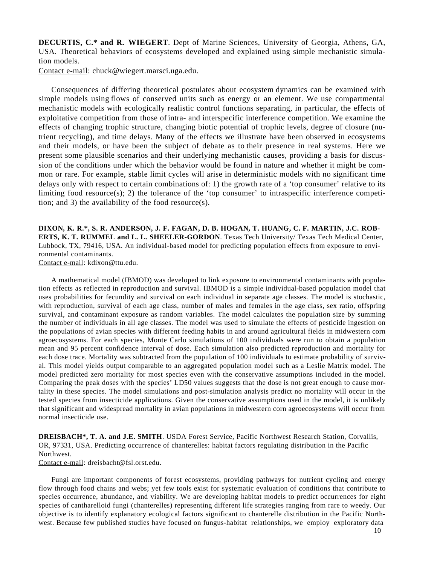**DECURTIS, C.\* and R. WIEGERT**. Dept of Marine Sciences, University of Georgia, Athens, GA, USA. Theoretical behaviors of ecosystems developed and explained using simple mechanistic simulation models.

Contact e-mail: chuck@wiegert.marsci.uga.edu.

Consequences of differing theoretical postulates about ecosystem dynamics can be examined with simple models using flows of conserved units such as energy or an element. We use compartmental mechanistic models with ecologically realistic control functions separating, in particular, the effects of exploitative competition from those of intra- and interspecific interference competition. We examine the effects of changing trophic structure, changing biotic potential of trophic levels, degree of closure (nutrient recycling), and time delays. Many of the effects we illustrate have been observed in ecosystems and their models, or have been the subject of debate as to their presence in real systems. Here we present some plausible scenarios and their underlying mechanistic causes, providing a basis for discussion of the conditions under which the behavior would be found in nature and whether it might be common or rare. For example, stable limit cycles will arise in deterministic models with no significant time delays only with respect to certain combinations of: 1) the growth rate of a 'top consumer' relative to its limiting food resource(s); 2) the tolerance of the 'top consumer' to intraspecific interference competition; and 3) the availability of the food resource(s).

**DIXON, K. R.\*, S. R. ANDERSON, J. F. FAGAN, D. B. HOGAN, T. HUANG, C. F. MARTIN, J.C. ROB-ERTS, K. T. RUMMEL and L. L. SHEELER-GORDON**. Texas Tech University/ Texas Tech Medical Center, Lubbock, TX, 79416, USA. An individual-based model for predicting population effects from exposure to environmental contaminants.

Contact e-mail: kdixon@ttu.edu.

A mathematical model (IBMOD) was developed to link exposure to environmental contaminants with population effects as reflected in reproduction and survival. IBMOD is a simple individual-based population model that uses probabilities for fecundity and survival on each individual in separate age classes. The model is stochastic, with reproduction, survival of each age class, number of males and females in the age class, sex ratio, offspring survival, and contaminant exposure as random variables. The model calculates the population size by summing the number of individuals in all age classes. The model was used to simulate the effects of pesticide ingestion on the populations of avian species with different feeding habits in and around agricultural fields in midwestern corn agroecosystems. For each species, Monte Carlo simulations of 100 individuals were run to obtain a population mean and 95 percent confidence interval of dose. Each simulation also predicted reproduction and mortality for each dose trace. Mortality was subtracted from the population of 100 individuals to estimate probability of survival. This model yields output comparable to an aggregated population model such as a Leslie Matrix model. The model predicted zero mortality for most species even with the conservative assumptions included in the model. Comparing the peak doses with the species' LD50 values suggests that the dose is not great enough to cause mortality in these species. The model simulations and post-simulation analysis predict no mortality will occur in the tested species from insecticide applications. Given the conservative assumptions used in the model, it is unlikely that significant and widespread mortality in avian populations in midwestern corn agroecosystems will occur from normal insecticide use.

**DREISBACH\*, T. A. and J.E. SMITH**. USDA Forest Service, Pacific Northwest Research Station, Corvallis, OR, 97331, USA. Predicting occurrence of chanterelles: habitat factors regulating distribution in the Pacific Northwest.

Contact e-mail: dreisbacht@fsl.orst.edu.

Fungi are important components of forest ecosystems, providing pathways for nutrient cycling and energy flow through food chains and webs; yet few tools exist for systematic evaluation of conditions that contribute to species occurrence, abundance, and viability. We are developing habitat models to predict occurrences for eight species of cantharelloid fungi (chanterelles) representing different life strategies ranging from rare to weedy. Our objective is to identify explanatory ecological factors significant to chanterelle distribution in the Pacific Northwest. Because few published studies have focused on fungus-habitat relationships, we employ exploratory data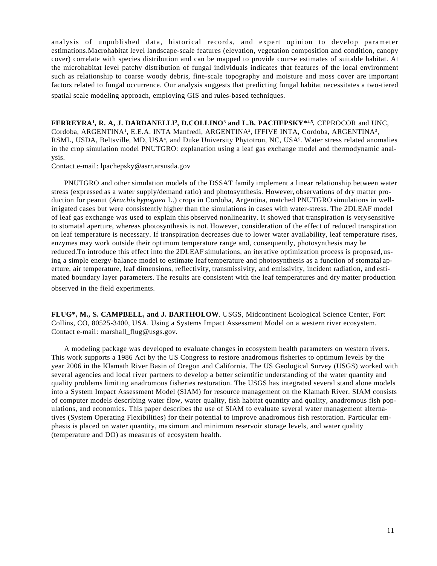analysis of unpublished data, historical records, and expert opinion to develop parameter estimations.Macrohabitat level landscape-scale features (elevation, vegetation composition and condition, canopy cover) correlate with species distribution and can be mapped to provide course estimates of suitable habitat. At the microhabitat level patchy distribution of fungal individuals indicates that features of the local environment such as relationship to coarse woody debris, fine-scale topography and moisture and moss cover are important factors related to fungal occurrence. Our analysis suggests that predicting fungal habitat necessitates a two-tiered spatial scale modeling approach, employing GIS and rules-based techniques.

**FERREYRA<sup>1</sup>, R. A, J. DARDANELLI<sup>2</sup>, D.COLLINO<sup>3</sup> and L.B. PACHEPSKY\*<sup>4,5</sup>. CEPROCOR and UNC,** Cordoba, ARGENTINA1, E.E.A. INTA Manfredi, ARGENTINA2, IFFIVE INTA, Cordoba, ARGENTINA3, RSML, USDA, Beltsville, MD, USA<sup>4</sup>, and Duke University Phytotron, NC, USA<sup>5</sup>. Water stress related anomalies in the crop simulation model PNUTGRO: explanation using a leaf gas exchange model and thermodynamic analysis.

Contact e-mail: lpachepsky@asrr.arsusda.gov

PNUTGRO and other simulation models of the DSSAT family implement a linear relationship between water stress (expressed as a water supply/demand ratio) and photosynthesis. However, observations of dry matter production for peanut (*Arachis hypogaea* L.) crops in Cordoba, Argentina, matched PNUTGRO simulations in wellirrigated cases but were consistently higher than the simulations in cases with water-stress. The 2DLEAF model of leaf gas exchange was used to explain this observed nonlinearity. It showed that transpiration is very sensitive to stomatal aperture, whereas photosynthesis is not. However, consideration of the effect of reduced transpiration on leaf temperature is necessary. If transpiration decreases due to lower water availability, leaf temperature rises, enzymes may work outside their optimum temperature range and, consequently, photosynthesis may be reduced.To introduce this effect into the 2DLEAF simulations, an iterative optimization process is proposed, using a simple energy-balance model to estimate leaf temperature and photosynthesis as a function of stomatal aperture, air temperature, leaf dimensions, reflectivity, transmissivity, and emissivity, incident radiation, and estimated boundary layer parameters. The results are consistent with the leaf temperatures and dry matter production observed in the field experiments.

**FLUG\*, M., S. CAMPBELL, and J. BARTHOLOW**. USGS, Midcontinent Ecological Science Center, Fort Collins, CO, 80525-3400, USA. Using a Systems Impact Assessment Model on a western river ecosystem. Contact e-mail: marshall\_flug@usgs.gov.

A modeling package was developed to evaluate changes in ecosystem health parameters on western rivers. This work supports a 1986 Act by the US Congress to restore anadromous fisheries to optimum levels by the year 2006 in the Klamath River Basin of Oregon and California. The US Geological Survey (USGS) worked with several agencies and local river partners to develop a better scientific understanding of the water quantity and quality problems limiting anadromous fisheries restoration. The USGS has integrated several stand alone models into a System Impact Assessment Model (SIAM) for resource management on the Klamath River. SIAM consists of computer models describing water flow, water quality, fish habitat quantity and quality, anadromous fish populations, and economics. This paper describes the use of SIAM to evaluate several water management alternatives (System Operating Flexibilities) for their potential to improve anadromous fish restoration. Particular emphasis is placed on water quantity, maximum and minimum reservoir storage levels, and water quality (temperature and DO) as measures of ecosystem health.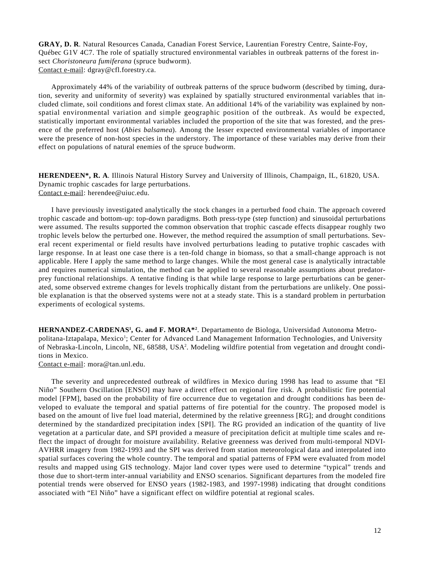**GRAY, D. R**. Natural Resources Canada, Canadian Forest Service, Laurentian Forestry Centre, Sainte-Foy, Québec G1V 4C7. The role of spatially structured environmental variables in outbreak patterns of the forest insect *Choristoneura fumiferana* (spruce budworm). Contact e-mail: dgray@cfl.forestry.ca.

Approximately 44% of the variability of outbreak patterns of the spruce budworm (described by timing, duration, severity and uniformity of severity) was explained by spatially structured environmental variables that included climate, soil conditions and forest climax state. An additional 14% of the variability was explained by nonspatial environmental variation and simple geographic position of the outbreak. As would be expected, statistically important environmental variables included the proportion of the site that was forested, and the presence of the preferred host (*Abies balsamea*). Among the lesser expected environmental variables of importance were the presence of non-host species in the understory. The importance of these variables may derive from their effect on populations of natural enemies of the spruce budworm.

**HERENDEEN\*, R. A**. Illinois Natural History Survey and University of Illinois, Champaign, IL, 61820, USA. Dynamic trophic cascades for large perturbations. Contact e-mail: herendee@uiuc.edu.

I have previously investigated analytically the stock changes in a perturbed food chain. The approach covered trophic cascade and bottom-up: top-down paradigms. Both press-type (step function) and sinusoidal perturbations were assumed. The results supported the common observation that trophic cascade effects disappear roughly two trophic levels below the perturbed one. However, the method required the assumption of small perturbations. Several recent experimental or field results have involved perturbations leading to putative trophic cascades with large response. In at least one case there is a ten-fold change in biomass, so that a small-change approach is not applicable. Here I apply the same method to large changes. While the most general case is analytically intractable and requires numerical simulation, the method can be applied to several reasonable assumptions about predatorprey functional relationships. A tentative finding is that while large response to large perturbations can be generated, some observed extreme changes for levels trophically distant from the perturbations are unlikely. One possible explanation is that the observed systems were not at a steady state. This is a standard problem in perturbation experiments of ecological systems.

**HERNANDEZ-CARDENAS1 , G. and F. MORA\*2** . Departamento de Biologa, Universidad Autonoma Metropolitana-Iztapalapa, Mexico<sup>1</sup>; Center for Advanced Land Management Information Technologies, and University of Nebraska-Lincoln, Lincoln, NE, 68588, USA2 . Modeling wildfire potential from vegetation and drought conditions in Mexico.

Contact e-mail: mora@tan.unl.edu.

The severity and unprecedented outbreak of wildfires in Mexico during 1998 has lead to assume that "El Niño" Southern Oscillation [ENSO] may have a direct effect on regional fire risk. A probabilistic fire potential model [FPM], based on the probability of fire occurrence due to vegetation and drought conditions has been developed to evaluate the temporal and spatial patterns of fire potential for the country. The proposed model is based on the amount of live fuel load material, determined by the relative greenness [RG]; and drought conditions determined by the standardized precipitation index [SPI]. The RG provided an indication of the quantity of live vegetation at a particular date, and SPI provided a measure of precipitation deficit at multiple time scales and reflect the impact of drought for moisture availability. Relative greenness was derived from multi-temporal NDVI-AVHRR imagery from 1982-1993 and the SPI was derived from station meteorological data and interpolated into spatial surfaces covering the whole country. The temporal and spatial patterns of FPM were evaluated from model results and mapped using GIS technology. Major land cover types were used to determine "typical" trends and those due to short-term inter-annual variability and ENSO scenarios. Significant departures from the modeled fire potential trends were observed for ENSO years (1982-1983, and 1997-1998) indicating that drought conditions associated with "El Niño" have a significant effect on wildfire potential at regional scales.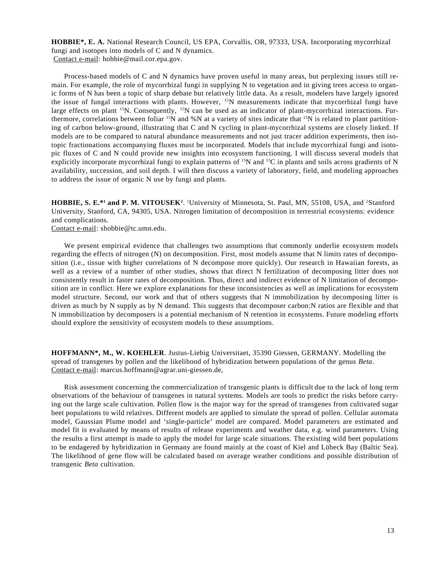**HOBBIE\*, E. A.** National Research Council, US EPA, Corvallis, OR, 97333, USA. Incorporating mycorrhizal fungi and isotopes into models of C and N dynamics. Contact e-mail: hobbie@mail.cor.epa.gov.

Process-based models of C and N dynamics have proven useful in many areas, but perplexing issues still remain. For example, the role of mycorrhizal fungi in supplying N to vegetation and in giving trees access to organic forms of N has been a topic of sharp debate but relatively little data. As a result, modelers have largely ignored the issue of fungal interactions with plants. However, <sup>15</sup>N measurements indicate that mycorrhizal fungi have large effects on plant <sup>15</sup>N. Consequently, <sup>15</sup>N can be used as an indicator of plant-mycorrhizal interactions. Furthermore, correlations between foliar  $15N$  and %N at a variety of sites indicate that  $15N$  is related to plant partitioning of carbon below-ground, illustrating that C and N cycling in plant-mycorrhizal systems are closely linked. If models are to be compared to natural abundance measurements and not just tracer addition experiments, then isotopic fractionations accompanying fluxes must be incorporated. Models that include mycorrhizal fungi and isotopic fluxes of C and N could provide new insights into ecosystem functioning. I will discuss several models that explicitly incorporate mycorrhizal fungi to explain patterns of  $15N$  and  $13C$  in plants and soils across gradients of N availability, succession, and soil depth. I will then discuss a variety of laboratory, field, and modeling approaches to address the issue of organic N use by fungi and plants.

**HOBBIE, S. E.\*1 and P. M. VITOUSEK2**. 1 University of Minnesota, St. Paul, MN, 55108, USA, and 2Stanford University, Stanford, CA, 94305, USA. Nitrogen limitation of decomposition in terrestrial ecosystems: evidence and complications.

Contact e-mail: shobbie@tc.umn.edu.

We present empirical evidence that challenges two assumptions that commonly underlie ecosystem models regarding the effects of nitrogen (N) on decomposition. First, most models assume that N limits rates of decomposition (i.e., tissue with higher correlations of N decompose more quickly). Our research in Hawaiian forests, as well as a review of a number of other studies, shows that direct N fertilization of decomposing litter does not consistently result in faster rates of decomposition. Thus, direct and indirect evidence of N limitation of decomposition are in conflict. Here we explore explanations for these inconsistencies as well as implications for ecosystem model structure. Second, our work and that of others suggests that N immobilization by decomposing litter is driven as much by N supply as by N demand. This suggests that decomposer carbon:N ratios are flexible and that N immobilization by decomposers is a potential mechanism of N retention in ecosystems. Future modeling efforts should explore the sensitivity of ecosystem models to these assumptions.

**HOFFMANN\*, M., W. KOEHLER**. Justus-Liebig Universitaet, 35390 Giessen, GERMANY. Modelling the spread of transgenes by pollen and the likelihood of hybridization between populations of the genus *Beta*. Contact e-mail: marcus.hoffmann@agrar.uni-giessen.de,

Risk assessment concerning the commercialization of transgenic plants is difficult due to the lack of long term observations of the behaviour of transgenes in natural systems. Models are tools to predict the risks before carrying out the large scale cultivation. Pollen flow is the major way for the spread of transgenes from cultivated sugar beet populations to wild relatives. Different models are applied to simulate the spread of pollen. Cellular automata model, Gaussian Plume model and 'single-particle' model are compared. Model parameters are estimated and model fit is evaluated by means of results of release experiments and weather data, e.g. wind parameters. Using the results a first attempt is made to apply the model for large scale situations. The existing wild beet populations to be endagered by hybridization in Germany are found mainly at the coast of Kiel and Lübeck Bay (Baltic Sea). The likelihood of gene flow will be calculated based on average weather conditions and possible distribution of transgenic *Beta* cultivation.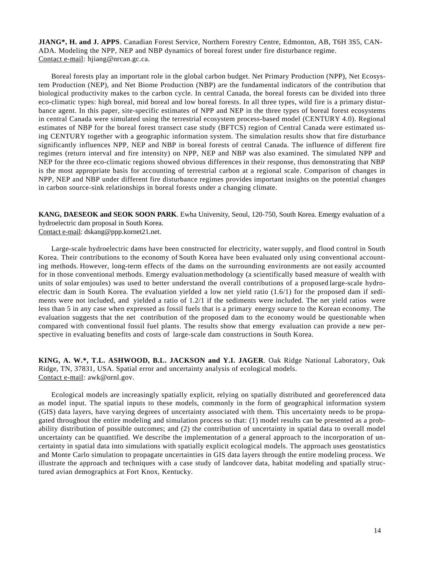**JIANG\*, H. and J. APPS**. Canadian Forest Service, Northern Forestry Centre, Edmonton, AB, T6H 3S5, CAN-ADA. Modeling the NPP, NEP and NBP dynamics of boreal forest under fire disturbance regime. Contact e-mail: hjiang@nrcan.gc.ca.

Boreal forests play an important role in the global carbon budget. Net Primary Production (NPP), Net Ecosystem Production (NEP), and Net Biome Production (NBP) are the fundamental indicators of the contribution that biological productivity makes to the carbon cycle. In central Canada, the boreal forests can be divided into three eco-climatic types: high boreal, mid boreal and low boreal forests. In all three types, wild fire is a primary disturbance agent. In this paper, site-specific estimates of NPP and NEP in the three types of boreal forest ecosystems in central Canada were simulated using the terrestrial ecosystem process-based model (CENTURY 4.0). Regional estimates of NBP for the boreal forest transect case study (BFTCS) region of Central Canada were estimated using CENTURY together with a geographic information system. The simulation results show that fire disturbance significantly influences NPP, NEP and NBP in boreal forests of central Canada. The influence of different fire regimes (return interval and fire intensity) on NPP, NEP and NBP was also examined. The simulated NPP and NEP for the three eco-climatic regions showed obvious differences in their response, thus demonstrating that NBP is the most appropriate basis for accounting of terrestrial carbon at a regional scale. Comparison of changes in NPP, NEP and NBP under different fire disturbance regimes provides important insights on the potential changes in carbon source-sink relationships in boreal forests under a changing climate.

**KANG, DAESEOK and SEOK SOON PARK**. Ewha University, Seoul, 120-750, South Korea. Emergy evaluation of a hydroelectric dam proposal in South Korea. Contact e-mail: dskang@ppp.kornet21.net.

Large-scale hydroelectric dams have been constructed for electricity, watersupply, and flood control in South Korea. Their contributions to the economy of South Korea have been evaluated only using conventional accounting methods. However, long-term effects of the dams on the surrounding environments are not easily accounted for in those conventional methods. Emergy evaluationmethodology (a scientifically based measure of wealth with units of solar emjoules) was used to better understand the overall contributions of a proposed large-scale hydroelectric dam in South Korea. The evaluation yielded a low net yield ratio (1.6/1) for the proposed dam if sediments were not included, and yielded a ratio of 1.2/1 if the sediments were included. The net yield ratios were less than 5 in any case when expressed as fossil fuels that is a primary energy source to the Korean economy. The evaluation suggests that the net contribution of the proposed dam to the economy would be questionable when compared with conventional fossil fuel plants. The results show that emergy evaluation can provide a new perspective in evaluating benefits and costs of large-scale dam constructions in South Korea.

**KING, A. W.\*, T.L. ASHWOOD, B.L. JACKSON and Y.I. JAGER**. Oak Ridge National Laboratory, Oak Ridge, TN, 37831, USA. Spatial error and uncertainty analysis of ecological models. Contact e-mail: awk@ornl.gov.

Ecological models are increasingly spatially explicit, relying on spatially distributed and georeferenced data as model input. The spatial inputs to these models, commonly in the form of geographical information system (GIS) data layers, have varying degrees of uncertainty associated with them. This uncertainty needs to be propagated throughout the entire modeling and simulation process so that: (1) model results can be presented as a probability distribution of possible outcomes; and (2) the contribution of uncertainty in spatial data to overall model uncertainty can be quantified. We describe the implementation of a general approach to the incorporation of uncertainty in spatial data into simulations with spatially explicit ecological models. The approach uses geostatistics and Monte Carlo simulation to propagate uncertainties in GIS data layers through the entire modeling process. We illustrate the approach and techniques with a case study of landcover data, habitat modeling and spatially structured avian demographics at Fort Knox, Kentucky.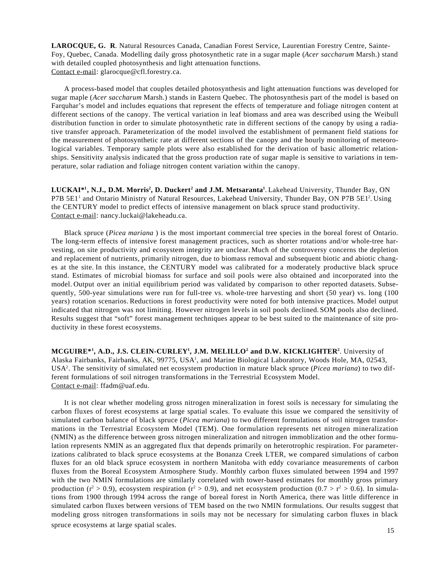**LAROCQUE, G. R**. Natural Resources Canada, Canadian Forest Service, Laurentian Forestry Centre, Sainte-Foy, Quebec, Canada. Modelling daily gross photosynthetic rate in a sugar maple (*Acer saccharum* Marsh.) stand with detailed coupled photosynthesis and light attenuation functions. Contact e-mail: glarocque@cfl.forestry.ca.

A process-based model that couples detailed photosynthesis and light attenuation functions was developed for sugar maple (*Acer saccharum* Marsh.) stands in Eastern Quebec. The photosynthesis part of the model is based on Farquhar's model and includes equations that represent the effects of temperature and foliage nitrogen content at different sections of the canopy. The vertical variation in leaf biomass and area was described using the Weibull distribution function in order to simulate photosynthetic rate in different sections of the canopy by using a radiative transfer approach. Parameterization of the model involved the establishment of permanent field stations for the measurement of photosynthetic rate at different sections of the canopy and the hourly monitoring of meteorological variables. Temporary sample plots were also established for the derivation of basic allometric relationships. Sensitivity analysis indicated that the gross production rate of sugar maple is sensitive to variations in temperature, solar radiation and foliage nitrogen content variation within the canopy.

 $\bf LUCKAI^{*1}, N.J., D.M. Morris^2, D. Duckert^2 and J.M. Metsaranta^1. Lakchead University, Thunder Bay, ON$ P7B 5E1<sup>1</sup> and Ontario Ministry of Natural Resources, Lakehead University, Thunder Bay, ON P7B 5E1<sup>2</sup>. Using the CENTURY model to predict effects of intensive management on black spruce stand productivity. Contact e-mail: nancy.luckai@lakeheadu.ca.

Black spruce (*Picea mariana* ) is the most important commercial tree species in the boreal forest of Ontario. The long-term effects of intensive forest management practices, such as shorter rotations and/or whole-tree harvesting, on site productivity and ecosystem integrity are unclear. Much of the controversy concerns the depletion and replacement of nutrients, primarily nitrogen, due to biomass removal and subsequent biotic and abiotic changes at the site. In this instance, the CENTURY model was calibrated for a moderately productive black spruce stand. Estimates of microbial biomass for surface and soil pools were also obtained and incorporated into the model. Output over an initial equilibrium period was validated by comparison to other reported datasets. Subsequently, 500-year simulations were run for full-tree vs. whole-tree harvesting and short (50 year) vs. long (100 years) rotation scenarios. Reductions in forest productivity were noted for both intensive practices. Model output indicated that nitrogen was not limiting. However nitrogen levels in soil pools declined. SOM pools also declined. Results suggest that "soft" forest management techniques appear to be best suited to the maintenance of site productivity in these forest ecosystems.

**MCGUIRE\*1 , A.D., J.S. CLEIN-CURLEY1 , J.M. MELILLO2 and D.W. KICKLIGHTER2** . University of Alaska Fairbanks, Fairbanks, AK, 99775, USA<sup>1</sup>, and Marine Biological Laboratory, Woods Hole, MA, 02543, USA2 . The sensitivity of simulated net ecosystem production in mature black spruce (*Picea mariana*) to two different formulations of soil nitrogen transformations in the Terrestrial Ecosystem Model. Contact e-mail: ffadm@uaf.edu.

It is not clear whether modeling gross nitrogen mineralization in forest soils is necessary for simulating the carbon fluxes of forest ecosystems at large spatial scales. To evaluate this issue we compared the sensitivity of simulated carbon balance of black spruce (*Picea mariana*) to two different formulations of soil nitrogen transformations in the Terrestrial Ecosystem Model (TEM). One formulation represents net nitrogen mineralization (NMIN) as the difference between gross nitrogen mineralization and nitrogen immoblization and the other formulation represents NMIN as an aggregated flux that depends primarily on heterotrophic respiration. For parameterizations calibrated to black spruce ecosystems at the Bonanza Creek LTER, we compared simulations of carbon fluxes for an old black spruce ecosystem in northern Manitoba with eddy covariance measurements of carbon fluxes from the Boreal Ecosystem Atmosphere Study. Monthly carbon fluxes simulated between 1994 and 1997 with the two NMIN formulations are similarly correlated with tower-based estimates for monthly gross primary production ( $r^2 > 0.9$ ), ecosystem respiration ( $r^2 > 0.9$ ), and net ecosystem production (0.7 >  $r^2 > 0.6$ ). In simulations from 1900 through 1994 across the range of boreal forest in North America, there was little difference in simulated carbon fluxes between versions of TEM based on the two NMIN formulations. Our results suggest that modeling gross nitrogen transformations in soils may not be necessary for simulating carbon fluxes in black spruce ecosystems at large spatial scales.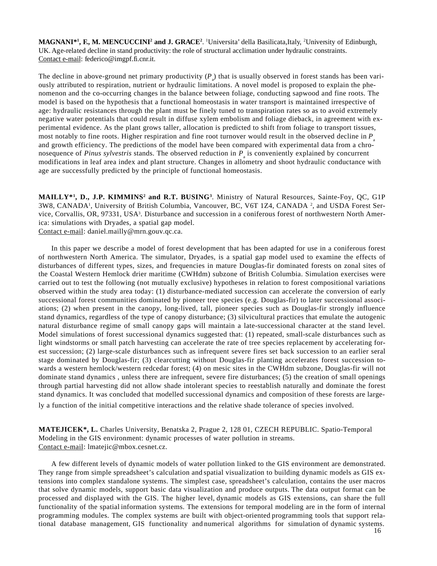**MAGNANI\*1 , F., M. MENCUCCINI2 and J. GRACE2** . 1 Universita' della Basilicata,Italy, 2 University of Edinburgh, UK. Age-related decline in stand productivity: the role of structural acclimation under hydraulic constraints. Contact e-mail: federico@imgpf.fi.cnr.it.

. modifications in leaf area index and plant structure. Changes in allometry and shoot hydraulic conductance with The decline in above-ground net primary productivity  $(P_a)$  that is usually observed in forest stands has been variously attributed to respiration, nutrient or hydraulic limitations. A novel model is proposed to explain the phenomenon and the co-occurring changes in the balance between foliage, conducting sapwood and fine roots. The model is based on the hypothesis that a functional homeostasis in water transport is maintained irrespective of age: hydraulic resistances through the plant must be finely tuned to transpiration rates so as to avoid extremely negative water potentials that could result in diffuse xylem embolism and foliage dieback, in agreement with experimental evidence. As the plant grows taller, allocation is predicted to shift from foliage to transport tissues, most notably to fine roots. Higher respiration and fine root turnover would result in the observed decline in  $P_a$ and growth efficiency. The predictions of the model have been compared with experimental data from a chronosequence of *Pinus sylvestris* stands. The observed reduction in  $P_{\text{a}}$  is conveniently explained by concurrent age are successfully predicted by the principle of functional homeostasis.

**MAILLY\*1, D., J.P. KIMMINS2 and R.T. BUSING3**. Ministry of Natural Resources, Sainte-Foy, QC, G1P 3W8, CANADA<sup>1</sup>, University of British Columbia, Vancouver, BC, V6T 1Z4, CANADA<sup>2</sup>, and USDA Forest Service, Corvallis, OR, 97331, USA<sup>3</sup>. Disturbance and succession in a coniferous forest of northwestern North America: simulations with Dryades, a spatial gap model. Contact e-mail: daniel.mailly@mrn.gouv.qc.ca.

In this paper we describe a model of forest development that has been adapted for use in a coniferous forest of northwestern North America. The simulator, Dryades, is a spatial gap model used to examine the effects of disturbances of different types, sizes, and frequencies in mature Douglas-fir dominated forests on zonal sites of the Coastal Western Hemlock drier maritime (CWHdm) subzone of British Columbia. Simulation exercises were carried out to test the following (not mutually exclusive) hypotheses in relation to forest compositional variations observed within the study area today: (1) disturbance-mediated succession can accelerate the conversion of early successional forest communities dominated by pioneer tree species (e.g. Douglas-fir) to later successional associations; (2) when present in the canopy, long-lived, tall, pioneer species such as Douglas-fir strongly influence stand dynamics, regardless of the type of canopy disturbance; (3) silvicultural practices that emulate the autogenic natural disturbance regime of small canopy gaps will maintain a late-successional character at the stand level. Model simulations of forest successional dynamics suggested that: (1) repeated, small-scale disturbances such as light windstorms or small patch harvesting can accelerate the rate of tree species replacement by accelerating forest succession; (2) large-scale disturbances such as infrequent severe fires set back succession to an earlier seral stage dominated by Douglas-fir; (3) clearcutting without Douglas-fir planting accelerates forest succession towards a western hemlock/western redcedar forest; (4) on mesic sites in the CWHdm subzone, Douglas-fir will not dominate stand dynamics , unless there are infrequent, severe fire disturbances; (5) the creation of small openings through partial harvesting did not allow shade intolerant species to reestablish naturally and dominate the forest stand dynamics. It was concluded that modelled successional dynamics and composition of these forests are large-

ly a function of the initial competitive interactions and the relative shade tolerance of species involved.

**MATEJICEK\*, L.** Charles University, Benatska 2, Prague 2, 128 01, CZECH REPUBLIC. Spatio-Temporal Modeling in the GIS environment: dynamic processes of water pollution in streams. Contact e-mail: lmatejic@mbox.cesnet.cz.

A few different levels of dynamic models of water pollution linked to the GIS environment are demonstrated. They range from simple spreadsheet's calculation and spatial visualization to building dynamic models as GIS extensions into complex standalone systems. The simplest case, spreadsheet's calculation, contains the user macros that solve dynamic models, support basic data visualization and produce outputs. The data output format can be processed and displayed with the GIS. The higher level, dynamic models as GIS extensions, can share the full functionality of the spatial information systems. The extensions for temporal modeling are in the form of internal programming modules. The complex systems are built with object-oriented programming tools that support relational database management, GIS functionality and numerical algorithms for simulation of dynamic systems.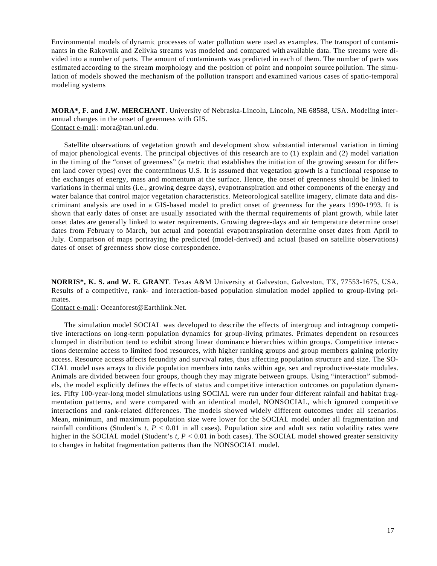Environmental models of dynamic processes of water pollution were used as examples. The transport of contaminants in the Rakovnik and Zelivka streams was modeled and compared with available data. The streams were divided into a number of parts. The amount of contaminants was predicted in each of them. The number of parts was estimated according to the stream morphology and the position of point and nonpoint source pollution. The simulation of models showed the mechanism of the pollution transport and examined various cases of spatio-temporal modeling systems

**MORA\*, F. and J.W. MERCHANT**. University of Nebraska-Lincoln, Lincoln, NE 68588, USA. Modeling interannual changes in the onset of greenness with GIS. Contact e-mail: mora@tan.unl.edu.

Satellite observations of vegetation growth and development show substantial interanual variation in timing of major phenological events. The principal objectives of this research are to (1) explain and (2) model variation in the timing of the "onset of greenness" (a metric that establishes the initiation of the growing season for different land cover types) over the conterminous U.S. It is assumed that vegetation growth is a functional response to the exchanges of energy, mass and momentum at the surface. Hence, the onset of greenness should be linked to variations in thermal units (i.e., growing degree days), evapotranspiration and other components of the energy and water balance that control major vegetation characteristics. Meteorological satellite imagery, climate data and discriminant analysis are used in a GIS-based model to predict onset of greenness for the years 1990-1993. It is shown that early dates of onset are usually associated with the thermal requirements of plant growth, while later onset dates are generally linked to water requirements. Growing degree-days and air temperature determine onset dates from February to March, but actual and potential evapotranspiration determine onset dates from April to July. Comparison of maps portraying the predicted (model-derived) and actual (based on satellite observations) dates of onset of greenness show close correspondence.

**NORRIS\*, K. S. and W. E. GRANT**. Texas A&M University at Galveston, Galveston, TX, 77553-1675, USA. Results of a competitive, rank- and interaction-based population simulation model applied to group-living primates.

Contact e-mail: Oceanforest@Earthlink.Net.

The simulation model SOCIAL was developed to describe the effects of intergroup and intragroup competitive interactions on long-term population dynamics for group-living primates. Primates dependent on resources clumped in distribution tend to exhibit strong linear dominance hierarchies within groups. Competitive interactions determine access to limited food resources, with higher ranking groups and group members gaining priority access. Resource access affects fecundity and survival rates, thus affecting population structure and size. The SO-CIAL model uses arrays to divide population members into ranks within age, sex and reproductive-state modules. Animals are divided between four groups, though they may migrate between groups. Using "interaction" submodels, the model explicitly defines the effects of status and competitive interaction outcomes on population dynamics. Fifty 100-year-long model simulations using SOCIAL were run under four different rainfall and habitat fragmentation patterns, and were compared with an identical model, NONSOCIAL, which ignored competitive interactions and rank-related differences. The models showed widely different outcomes under all scenarios. Mean, minimum, and maximum population size were lower for the SOCIAL model under all fragmentation and rainfall conditions (Student's *t*, *P* < 0.01 in all cases). Population size and adult sex ratio volatility rates were higher in the SOCIAL model (Student's *t*,  $P < 0.01$  in both cases). The SOCIAL model showed greater sensitivity to changes in habitat fragmentation patterns than the NONSOCIAL model.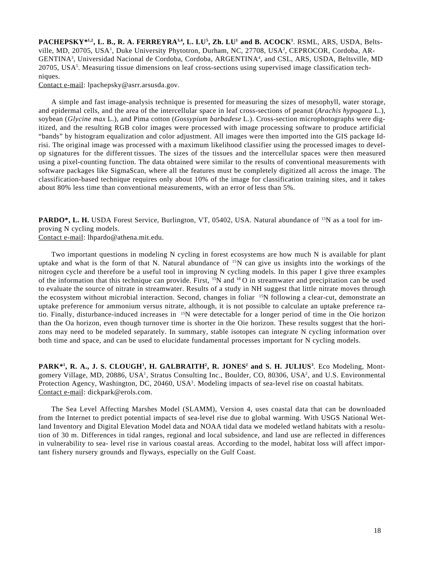$\mathbf{P}\mathbf{A}\mathbf{C}\mathbf{H}\mathbf{E}\mathbf{P}\mathbf{S}\mathbf{K}\mathbf{Y}^{*1,2}, \mathbf{L}\mathbf{B}, \mathbf{R}\mathbf{A}.\mathbf{A}.\mathbf{F}\mathbf{E}\mathbf{R}\mathbf{R}\mathbf{E}\mathbf{Y}\mathbf{R}\mathbf{A}^{3,4}, \mathbf{L}\mathbf{.}\mathbf{L}\mathbf{U}^{5}, \mathbf{Z}\mathbf{h}.\mathbf{L}\mathbf{U}^{1}\mathbf{and}\mathbf{B}.\mathbf{A}\mathbf{C}\mathbf{O}\mathbf{C}\mathbf{K}^{1}.\mathbf{R}\math$ ville, MD, 20705, USA<sup>1</sup>, Duke University Phytotron, Durham, NC, 27708, USA<sup>2</sup>, CEPROCOR, Cordoba, AR-GENTINA<sup>3</sup>, Universidad Nacional de Cordoba, Cordoba, ARGENTINA<sup>4</sup>, and CSL, ARS, USDA, Beltsville, MD 20705, USA<sup>5</sup>. Measuring tissue dimensions on leaf cross-sections using supervised image classification techniques.

Contact e-mail: lpachepsky@asrr.arsusda.gov.

A simple and fast image-analysis technique is presented for measuring the sizes of mesophyll, water storage, and epidermal cells, and the area of the intercellular space in leaf cross-sections of peanut (*Arachis hypogaea* L.), soybean (*Glycine max* L.), and Pima cotton (*Gossypium barbadese* L.). Cross-section microphotographs were digitized, and the resulting RGB color images were processed with image processing software to produce artificial "bands" by histogram equalization and color adjustment. All images were then imported into the GIS package Idrisi. The original image was processed with a maximum likelihood classifier using the processed images to develop signatures for the different tissues. The sizes of the tissues and the intercellular spaces were then measured using a pixel-counting function. The data obtained were similar to the results of conventional measurements with software packages like SigmaScan, where all the features must be completely digitized all across the image. The classification-based technique requires only about 10% of the image for classification training sites, and it takes about 80% less time than conventional measurements, with an error of less than 5%.

**PARDO\*, L. H.** USDA Forest Service, Burlington, VT, 05402, USA. Natural abundance of <sup>15</sup>N as a tool for improving N cycling models.

Contact e-mail: lhpardo@athena.mit.edu.

Two important questions in modeling N cycling in forest ecosystems are how much N is available for plant uptake and what is the form of that N. Natural abundance of  $^{15}N$  can give us insights into the workings of the nitrogen cycle and therefore be a useful tool in improving N cycling models. In this paper I give three examples of the information that this technique can provide. First, <sup>15</sup>N and <sup>18</sup>O in streamwater and precipitation can be used to evaluate the source of nitrate in streamwater. Results of a study in NH suggest that little nitrate moves through the ecosystem without microbial interaction. Second, changes in foliar <sup>15</sup>N following a clear-cut, demonstrate an uptake preference for ammonium versus nitrate, although, it is not possible to calculate an uptake preference ratio. Finally, disturbance-induced increases in 15N were detectable for a longer period of time in the Oie horizon than the Oa horizon, even though turnover time is shorter in the Oie horizon. These results suggest that the horizons may need to be modeled separately. In summary, stable isotopes can integrate N cycling information over both time and space, and can be used to elucidate fundamental processes important for N cycling models.

**PARK\*<sup>1</sup>, R. A., J. S. CLOUGH<sup>1</sup>, H. GALBRAITH<sup>2</sup>, R. JONES<sup>2</sup> and S. H. JULIUS<sup>3</sup>. Eco Modeling, Mont**gomery Village, MD, 20886, USA<sup>1</sup>, Stratus Consulting Inc., Boulder, CO, 80306, USA<sup>2</sup>, and U.S. Environmental Protection Agency, Washington, DC, 20460, USA<sup>3</sup>. Modeling impacts of sea-level rise on coastal habitats. Contact e-mail: dickpark@erols.com.

The Sea Level Affecting Marshes Model (SLAMM), Version 4, uses coastal data that can be downloaded from the Internet to predict potential impacts of sea-level rise due to global warming. With USGS National Wetland Inventory and Digital Elevation Model data and NOAA tidal data we modeled wetland habitats with a resolution of 30 m. Differences in tidal ranges, regional and local subsidence, and land use are reflected in differences in vulnerability to sea- level rise in various coastal areas. According to the model, habitat loss will affect important fishery nursery grounds and flyways, especially on the Gulf Coast.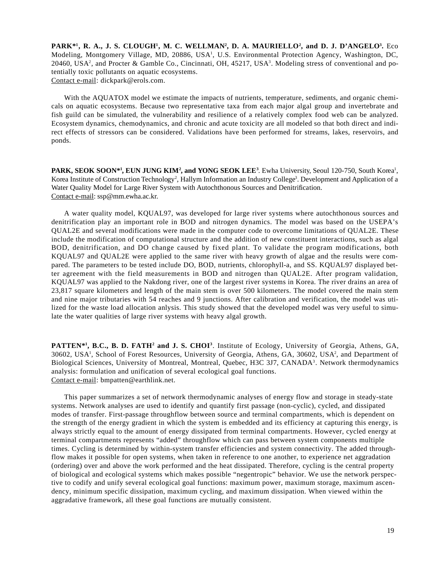PARK\*<sup>1</sup>, R. A., J. S. CLOUGH<sup>1</sup>, M. C. WELLMAN<sup>2</sup>, D. A. MAURIELLO<sup>2</sup>, and D. J. D'ANGELO<sup>3</sup>. Eco Modeling, Montgomery Village, MD, 20886, USA<sup>1</sup>, U.S. Environmental Protection Agency, Washington, DC, 20460, USA2, and Procter & Gamble Co., Cincinnati, OH, 45217, USA3. Modeling stress of conventional and potentially toxic pollutants on aquatic ecosystems. Contact e-mail: dickpark@erols.com.

With the AQUATOX model we estimate the impacts of nutrients, temperature, sediments, and organic chemicals on aquatic ecosystems. Because two representative taxa from each major algal group and invertebrate and fish guild can be simulated, the vulnerability and resilience of a relatively complex food web can be analyzed. Ecosystem dynamics, chemodynamics, and chronic and acute toxicity are all modeled so that both direct and indirect effects of stressors can be considered. Validations have been performed for streams, lakes, reservoirs, and ponds.

**PARK, SEOK SOON\*<sup>1</sup>, EUN JUNG KIM<sup>2</sup>, and YONG SEOK LEE<sup>3</sup>. Ewha University, Seoul 120-750, South Korea<sup>1</sup>,** Korea Institute of Construction Technology<sup>2</sup>, Hallym Information an Industry College<sup>3</sup>. Development and Application of a Water Quality Model for Large River System with Autochthonous Sources and Denitrification. Contact e-mail: ssp@mm.ewha.ac.kr.

A water quality model, KQUAL97, was developed for large river systems where autochthonous sources and denitrification play an important role in BOD and nitrogen dynamics. The model was based on the USEPA's QUAL2E and several modifications were made in the computer code to overcome limitations of QUAL2E. These include the modification of computational structure and the addition of new constituent interactions, such as algal BOD, denitrification, and DO change caused by fixed plant. To validate the program modifications, both KQUAL97 and QUAL2E were applied to the same river with heavy growth of algae and the results were compared. The parameters to be tested include DO, BOD, nutrients, chlorophyll-a, and SS. KQUAL97 displayed better agreement with the field measurements in BOD and nitrogen than QUAL2E. After program validation, KQUAL97 was applied to the Nakdong river, one of the largest river systems in Korea. The river drains an area of 23,817 square kilometers and length of the main stem is over 500 kilometers. The model covered the main stem and nine major tributaries with 54 reaches and 9 junctions. After calibration and verification, the model was utilized for the waste load allocation anlysis. This study showed that the developed model was very useful to simulate the water qualities of large river systems with heavy algal growth.

**PATTEN<sup>\*1</sup>**, **B.C., B. D. FATH<sup>2</sup> and J. S. CHOI<sup>3</sup>**. Institute of Ecology, University of Georgia, Athens, GA, 30602, USA<sup>1</sup>, School of Forest Resources, University of Georgia, Athens, GA, 30602, USA<sup>2</sup>, and Department of Biological Sciences, University of Montreal, Montreal, Quebec, H3C 3J7, CANADA<sup>3</sup>. Network thermodynamics analysis: formulation and unification of several ecological goal functions. Contact e-mail: bmpatten@earthlink.net.

This paper summarizes a set of network thermodynamic analyses of energy flow and storage in steady-state systems. Network analyses are used to identify and quantify first passage (non-cyclic), cycled, and dissipated modes of transfer. First-passage throughflow between source and terminal compartments, which is dependent on the strength of the energy gradient in which the system is embedded and its efficiency at capturing this energy, is always strictly equal to the amount of energy dissipated from terminal compartments. However, cycled energy at terminal compartments represents "added" throughflow which can pass between system components multiple times. Cycling is determined by within-system transfer efficiencies and system connectivity. The added throughflow makes it possible for open systems, when taken in reference to one another, to experience net aggradation (ordering) over and above the work performed and the heat dissipated. Therefore, cycling is the central property of biological and ecological systems which makes possible "negentropic" behavior. We use the network perspective to codify and unify several ecological goal functions: maximum power, maximum storage, maximum ascendency, minimum specific dissipation, maximum cycling, and maximum dissipation. When viewed within the aggradative framework, all these goal functions are mutually consistent.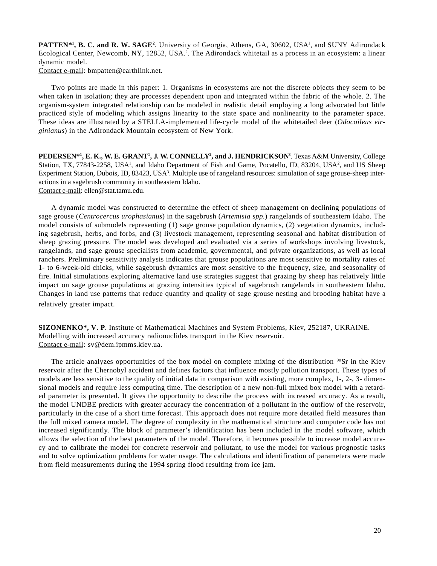PATTEN<sup>\*1</sup>, B. C. and R. W. SAGE<sup>2</sup>. University of Georgia, Athens, GA, 30602, USA<sup>1</sup>, and SUNY Adirondack Ecological Center, Newcomb, NY, 12852, USA.<sup>2</sup>. The Adirondack whitetail as a process in an ecosystem: a linear dynamic model.

Contact e-mail: bmpatten@earthlink.net.

Two points are made in this paper: 1. Organisms in ecosystems are not the discrete objects they seem to be when taken in isolation; they are processes dependent upon and integrated within the fabric of the whole. 2. The organism-system integrated relationship can be modeled in realistic detail employing a long advocated but little practiced style of modeling which assigns linearity to the state space and nonlinearity to the parameter space. These ideas are illustrated by a STELLA-implemented life-cycle model of the whitetailed deer (*Odocoileus virginianus*) in the Adirondack Mountain ecosystem of New York.

**PEDERSEN\*1 , E. K., W. E. GRANT1 , J. W. CONNELLY2 , and J. HENDRICKSON3** . Texas A&M University, College Station, TX, 77843-2258, USA<sup>1</sup>, and Idaho Department of Fish and Game, Pocatello, ID, 83204, USA<sup>2</sup>, and US Sheep Experiment Station, Dubois, ID, 83423, USA<sup>3</sup>. Multiple use of rangeland resources: simulation of sage grouse-sheep interactions in a sagebrush community in southeastern Idaho.

Contact e-mail: ellen@stat.tamu.edu.

A dynamic model was constructed to determine the effect of sheep management on declining populations of sage grouse (*Centrocercus urophasianus*) in the sagebrush (*Artemisia spp*.) rangelands of southeastern Idaho. The model consists of submodels representing (1) sage grouse population dynamics, (2) vegetation dynamics, including sagebrush, herbs, and forbs, and (3) livestock management, representing seasonal and habitat distribution of sheep grazing pressure. The model was developed and evaluated via a series of workshops involving livestock, rangelands, and sage grouse specialists from academic, governmental, and private organizations, as well as local ranchers. Preliminary sensitivity analysis indicates that grouse populations are most sensitive to mortality rates of 1- to 6-week-old chicks, while sagebrush dynamics are most sensitive to the frequency, size, and seasonality of fire. Initial simulations exploring alternative land use strategies suggest that grazing by sheep has relatively little impact on sage grouse populations at grazing intensities typical of sagebrush rangelands in southeastern Idaho. Changes in land use patterns that reduce quantity and quality of sage grouse nesting and brooding habitat have a relatively greater impact.

**SIZONENKO\*, V. P**. Institute of Mathematical Machines and System Problems, Kiev, 252187, UKRAINE. Modelling with increased accuracy radionuclides transport in the Kiev reservoir. Contact e-mail: sv@dem.ipmms.kiev.ua.

The article analyzes opportunities of the box model on complete mixing of the distribution  $90\text{Sr}$  in the Kiev reservoir after the Chernobyl accident and defines factors that influence mostly pollution transport. These types of models are less sensitive to the quality of initial data in comparison with existing, more complex, 1-, 2-, 3- dimensional models and require less computing time. The description of a new non-full mixed box model with a retarded parameter is presented. It gives the opportunity to describe the process with increased accuracy. As a result, the model UNDBE predicts with greater accuracy the concentration of a pollutant in the outflow of the reservoir, particularly in the case of a short time forecast. This approach does not require more detailed field measures than the full mixed camera model. The degree of complexity in the mathematical structure and computer code has not increased significantly. The block of parameter's identification has been included in the model software, which allows the selection of the best parameters of the model. Therefore, it becomes possible to increase model accuracy and to calibrate the model for concrete reservoir and pollutant, to use the model for various prognostic tasks and to solve optimization problems for water usage. The calculations and identification of parameters were made from field measurements during the 1994 spring flood resulting from ice jam.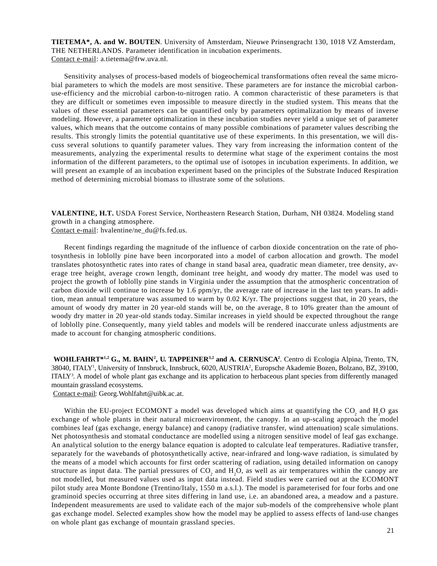**TIETEMA\*, A. and W. BOUTEN**. University of Amsterdam, Nieuwe Prinsengracht 130, 1018 VZ Amsterdam, THE NETHERLANDS. Parameter identification in incubation experiments. Contact e-mail: a.tietema@frw.uva.nl.

Sensitivity analyses of process-based models of biogeochemical transformations often reveal the same microbial parameters to which the models are most sensitive. These parameters are for instance the microbial carbonuse-efficiency and the microbial carbon-to-nitrogen ratio. A common characteristic of these parameters is that they are difficult or sometimes even impossible to measure directly in the studied system. This means that the values of these essential parameters can be quantified only by parameters optimalization by means of inverse modeling. However, a parameter optimalization in these incubation studies never yield a unique set of parameter values, which means that the outcome contains of many possible combinations of parameter values describing the results. This strongly limits the potential quantitative use of these experiments. In this presentation, we will discuss several solutions to quantify parameter values. They vary from increasing the information content of the measurements, analyzing the experimental results to determine what stage of the experiment contains the most information of the different parameters, to the optimal use of isotopes in incubation experiments. In addition, we will present an example of an incubation experiment based on the principles of the Substrate Induced Respiration method of determining microbial biomass to illustrate some of the solutions.

**VALENTINE, H.T.** USDA Forest Service, Northeastern Research Station, Durham, NH 03824. Modeling stand growth in a changing atmosphere.

Contact e-mail: hvalentine/ne\_du@fs.fed.us.

Recent findings regarding the magnitude of the influence of carbon dioxide concentration on the rate of photosynthesis in loblolly pine have been incorporated into a model of carbon allocation and growth. The model translates photosynthetic rates into rates of change in stand basal area, quadratic mean diameter, tree density, average tree height, average crown length, dominant tree height, and woody dry matter. The model was used to project the growth of loblolly pine stands in Virginia under the assumption that the atmospheric concentration of carbon dioxide will continue to increase by 1.6 ppm/yr, the average rate of increase in the last ten years. In addition, mean annual temperature was assumed to warm by 0.02 K/yr. The projections suggest that, in 20 years, the amount of woody dry matter in 20 year-old stands will be, on the average, 8 to 10% greater than the amount of woody dry matter in 20 year-old stands today. Similar increases in yield should be expected throughout the range of loblolly pine. Consequently, many yield tables and models will be rendered inaccurate unless adjustments are made to account for changing atmospheric conditions.

WOHLFAHRT<sup>\*1,2</sup> G., M. BAHN<sup>2</sup>, U. TAPPEINER<sup>3,2</sup> and A. CERNUSCA<sup>2</sup>. Centro di Ecologia Alpina, Trento, TN, 38040, ITALY<sup>1</sup>, University of Innsbruck, Innsbruck, 6020, AUSTRIA<sup>2</sup>, Europsche Akademie Bozen, Bolzano, BZ, 39100, ITALY<sup>3</sup>. A model of whole plant gas exchange and its application to herbaceous plant species from differently managed mountain grassland ecosystems.

Contact e-mail: Georg.Wohlfahrt@uibk.ac.at.

Within the EU-project ECOMONT a model was developed which aims at quantifying the  $CO_2$  and  $H_2O$  gas exchange of whole plants in their natural microenvironment, the canopy. In an up-scaling approach the model combines leaf (gas exchange, energy balance) and canopy (radiative transfer, wind attenuation) scale simulations. Net photosynthesis and stomatal conductance are modelled using a nitrogen sensitive model of leaf gas exchange. An analytical solution to the energy balance equation is adopted to calculate leaf temperatures. Radiative transfer, separately for the wavebands of photosynthetically active, near-infrared and long-wave radiation, is simulated by the means of a model which accounts for first order scattering of radiation, using detailed information on canopy structure as input data. The partial pressures of  $CO_2$  and  $H_2O$ , as well as air temperatures within the canopy are not modelled, but measured values used as input data instead. Field studies were carried out at the ECOMONT pilot study area Monte Bondone (Trentino/Italy, 1550 m a.s.l.). The model is parameterised for four forbs and one graminoid species occurring at three sites differing in land use, i.e. an abandoned area, a meadow and a pasture. Independent measurements are used to validate each of the major sub-models of the comprehensive whole plant gas exchange model. Selected examples show how the model may be applied to assess effects of land-use changes on whole plant gas exchange of mountain grassland species.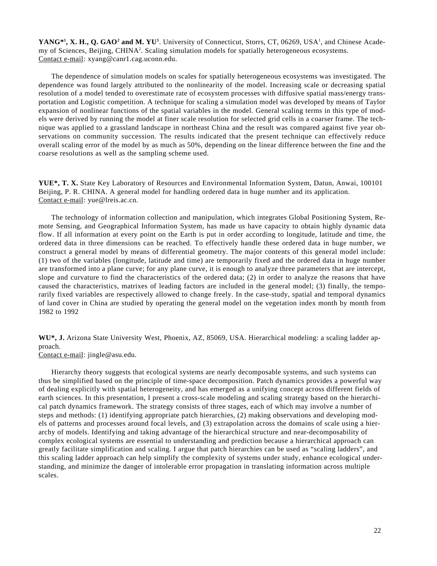YANG<sup>\*1</sup>, X. H., Q. GAO<sup>2</sup> and M. YU<sup>1</sup>. University of Connecticut, Storrs, CT, 06269, USA<sup>1</sup>, and Chinese Academy of Sciences, Beijing, CHINA<sup>2</sup>. Scaling simulation models for spatially heterogeneous ecosystems. Contact e-mail: xyang@canr1.cag.uconn.edu.

The dependence of simulation models on scales for spatially heterogeneous ecosystems was investigated. The dependence was found largely attributed to the nonlinearity of the model. Increasing scale or decreasing spatial resolution of a model tended to overestimate rate of ecosystem processes with diffusive spatial mass/energy transportation and Logistic competition. A technique for scaling a simulation model was developed by means of Taylor expansion of nonlinear functions of the spatial variables in the model. General scaling terms in this type of models were derived by running the model at finer scale resolution for selected grid cells in a coarser frame. The technique was applied to a grassland landscape in northeast China and the result was compared against five year observations on community succession. The results indicated that the present technique can effectively reduce overall scaling error of the model by as much as 50%, depending on the linear difference between the fine and the coarse resolutions as well as the sampling scheme used.

**YUE\*, T. X.** State Key Laboratory of Resources and Environmental Information System, Datun, Anwai, 100101 Beijing, P. R. CHINA. A general model for handling ordered data in huge number and its application. Contact e-mail: yue@lreis.ac.cn.

The technology of information collection and manipulation, which integrates Global Positioning System, Remote Sensing, and Geographical Information System, has made us have capacity to obtain highly dynamic data flow. If all information at every point on the Earth is put in order according to longitude, latitude and time, the ordered data in three dimensions can be reached. To effectively handle these ordered data in huge number, we construct a general model by means of differential geometry. The major contents of this general model include: (1) two of the variables (longitude, latitude and time) are temporarily fixed and the ordered data in huge number are transformed into a plane curve; for any plane curve, it is enough to analyze three parameters that are intercept, slope and curvature to find the characteristics of the ordered data; (2) in order to analyze the reasons that have caused the characteristics, matrixes of leading factors are included in the general model; (3) finally, the temporarily fixed variables are respectively allowed to change freely. In the case-study, spatial and temporal dynamics of land cover in China are studied by operating the general model on the vegetation index month by month from 1982 to 1992

**WU\*, J.** Arizona State University West, Phoenix, AZ, 85069, USA. Hierarchical modeling: a scaling ladder approach.

Contact e-mail: jingle@asu.edu.

Hierarchy theory suggests that ecological systems are nearly decomposable systems, and such systems can thus be simplified based on the principle of time-space decomposition. Patch dynamics provides a powerful way of dealing explicitly with spatial heterogeneity, and has emerged as a unifying concept across different fields of earth sciences. In this presentation, I present a cross-scale modeling and scaling strategy based on the hierarchical patch dynamics framework. The strategy consists of three stages, each of which may involve a number of steps and methods: (1) identifying appropriate patch hierarchies, (2) making observations and developing models of patterns and processes around focal levels, and (3) extrapolation across the domains of scale using a hierarchy of models. Identifying and taking advantage of the hierarchical structure and near-decomposability of complex ecological systems are essential to understanding and prediction because a hierarchical approach can greatly facilitate simplification and scaling. I argue that patch hierarchies can be used as "scaling ladders", and this scaling ladder approach can help simplify the complexity of systems under study, enhance ecological understanding, and minimize the danger of intolerable error propagation in translating information across multiple scales.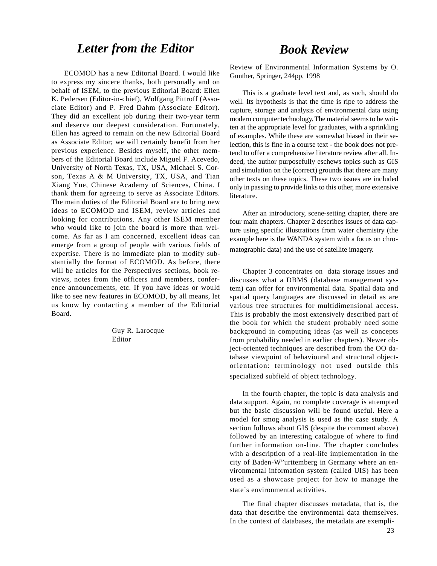# *Letter from the Editor*

ECOMOD has a new Editorial Board. I would like to express my sincere thanks, both personally and on behalf of ISEM, to the previous Editorial Board: Ellen K. Pedersen (Editor-in-chief), Wolfgang Pittroff (Associate Editor) and P. Fred Dahm (Associate Editor). They did an excellent job during their two-year term and deserve our deepest consideration. Fortunately, Ellen has agreed to remain on the new Editorial Board as Associate Editor; we will certainly benefit from her previous experience. Besides myself, the other members of the Editorial Board include Miguel F. Acevedo, University of North Texas, TX, USA, Michael S. Corson, Texas A & M University, TX, USA, and Tian Xiang Yue, Chinese Academy of Sciences, China. I thank them for agreeing to serve as Associate Editors. The main duties of the Editorial Board are to bring new ideas to ECOMOD and ISEM, review articles and looking for contributions. Any other ISEM member who would like to join the board is more than welcome. As far as I am concerned, excellent ideas can emerge from a group of people with various fields of expertise. There is no immediate plan to modify substantially the format of ECOMOD. As before, there will be articles for the Perspectives sections, book reviews, notes from the officers and members, conference announcements, etc. If you have ideas or would like to see new features in ECOMOD, by all means, let us know by contacting a member of the Editorial Board.

> Guy R. Larocque Editor

### *Book Review*

Review of Environmental Information Systems by O. Gunther, Springer, 244pp, 1998

This is a graduate level text and, as such, should do well. Its hypothesis is that the time is ripe to address the capture, storage and analysis of environmental data using modern computer technology. The material seems to be written at the appropriate level for graduates, with a sprinkling of examples. While these are somewhat biased in their selection, this is fine in a course text - the book does not pretend to offer a comprehensive literature review after all. Indeed, the author purposefully eschews topics such as GIS and simulation on the (correct) grounds that there are many other texts on these topics. These two issues are included only in passing to provide links to this other, more extensive literature.

After an introductory, scene-setting chapter, there are four main chapters. Chapter 2 describes issues of data capture using specific illustrations from water chemistry (the example here is the WANDA system with a focus on chromatographic data) and the use of satellite imagery.

Chapter 3 concentrates on data storage issues and discusses what a DBMS (database management system) can offer for environmental data. Spatial data and spatial query languages are discussed in detail as are various tree structures for multidimensional access. This is probably the most extensively described part of the book for which the student probably need some background in computing ideas (as well as concepts from probability needed in earlier chapters). Newer object-oriented techniques are described from the OO database viewpoint of behavioural and structural objectorientation: terminology not used outside this specialized subfield of object technology.

In the fourth chapter, the topic is data analysis and data support. Again, no complete coverage is attempted but the basic discussion will be found useful. Here a model for smog analysis is used as the case study. A section follows about GIS (despite the comment above) followed by an interesting catalogue of where to find further information on-line. The chapter concludes with a description of a real-life implementation in the city of Baden-W"urttemberg in Germany where an environmental information system (called UIS) has been used as a showcase project for how to manage the state's environmental activities.

The final chapter discusses metadata, that is, the data that describe the environmental data themselves. In the context of databases, the metadata are exempli-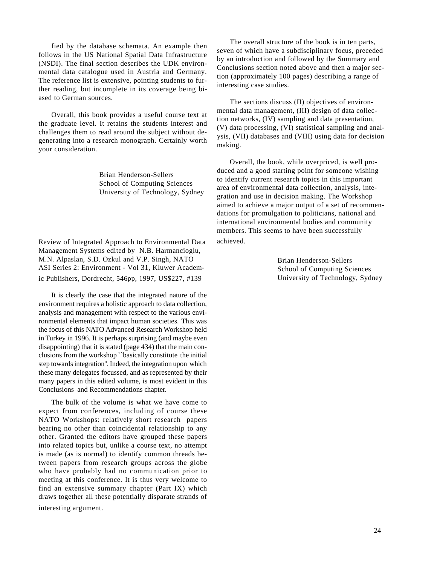fied by the database schemata. An example then follows in the US National Spatial Data Infrastructure (NSDI). The final section describes the UDK environmental data catalogue used in Austria and Germany. The reference list is extensive, pointing students to further reading, but incomplete in its coverage being biased to German sources.

Overall, this book provides a useful course text at the graduate level. It retains the students interest and challenges them to read around the subject without degenerating into a research monograph. Certainly worth your consideration.

> Brian Henderson-Sellers School of Computing Sciences University of Technology, Sydney

Review of Integrated Approach to Environmental Data Management Systems edited by N.B. Harmancioglu, M.N. Alpaslan, S.D. Ozkul and V.P. Singh, NATO ASI Series 2: Environment - Vol 31, Kluwer Academic Publishers, Dordrecht, 546pp, 1997, US\$227, #139

It is clearly the case that the integrated nature of the environment requires a holistic approach to data collection, analysis and management with respect to the various environmental elements that impact human societies. This was the focus of this NATO Advanced Research Workshop held in Turkey in 1996. It is perhaps surprising (and maybe even disappointing) that it is stated (page 434) that the main conclusions from the workshop ``basically constitute the initial step towards integration''. Indeed, the integration upon which these many delegates focussed, and as represented by their many papers in this edited volume, is most evident in this Conclusions and Recommendations chapter.

The bulk of the volume is what we have come to expect from conferences, including of course these NATO Workshops: relatively short research papers bearing no other than coincidental relationship to any other. Granted the editors have grouped these papers into related topics but, unlike a course text, no attempt is made (as is normal) to identify common threads between papers from research groups across the globe who have probably had no communication prior to meeting at this conference. It is thus very welcome to find an extensive summary chapter (Part IX) which draws together all these potentially disparate strands of

interesting argument.

The overall structure of the book is in ten parts, seven of which have a subdisciplinary focus, preceded by an introduction and followed by the Summary and Conclusions section noted above and then a major section (approximately 100 pages) describing a range of interesting case studies.

The sections discuss (II) objectives of environmental data management, (III) design of data collection networks, (IV) sampling and data presentation, (V) data processing, (VI) statistical sampling and analysis, (VII) databases and (VIII) using data for decision making.

Overall, the book, while overpriced, is well produced and a good starting point for someone wishing to identify current research topics in this important area of environmental data collection, analysis, integration and use in decision making. The Workshop aimed to achieve a major output of a set of recommendations for promulgation to politicians, national and international environmental bodies and community members. This seems to have been successfully achieved.

Brian Henderson-Sellers School of Computing Sciences University of Technology, Sydney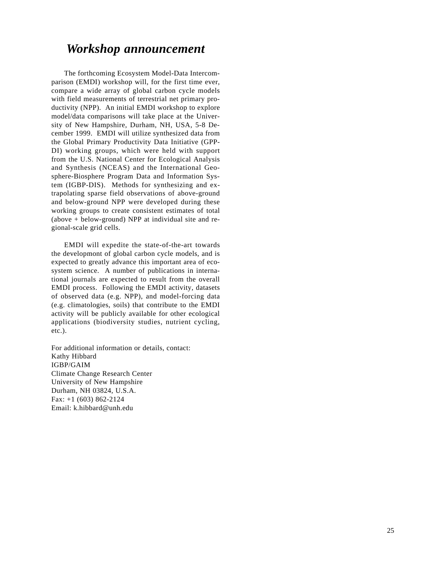# *Workshop announcement*

The forthcoming Ecosystem Model-Data Intercomparison (EMDI) workshop will, for the first time ever, compare a wide array of global carbon cycle models with field measurements of terrestrial net primary productivity (NPP). An initial EMDI workshop to explore model/data comparisons will take place at the University of New Hampshire, Durham, NH, USA, 5-8 December 1999. EMDI will utilize synthesized data from the Global Primary Productivity Data Initiative (GPP-DI) working groups, which were held with support from the U.S. National Center for Ecological Analysis and Synthesis (NCEAS) and the International Geosphere-Biosphere Program Data and Information System (IGBP-DIS). Methods for synthesizing and extrapolating sparse field observations of above-ground and below-ground NPP were developed during these working groups to create consistent estimates of total (above + below-ground) NPP at individual site and regional-scale grid cells.

EMDI will expedite the state-of-the-art towards the developmont of global carbon cycle models, and is expected to greatly advance this important area of ecosystem science. A number of publications in international journals are expected to result from the overall EMDI process. Following the EMDI activity, datasets of observed data (e.g. NPP), and model-forcing data (e.g. climatologies, soils) that contribute to the EMDI activity will be publicly available for other ecological applications (biodiversity studies, nutrient cycling, etc.).

For additional information or details, contact: Kathy Hibbard IGBP/GAIM Climate Change Research Center University of New Hampshire Durham, NH 03824, U.S.A. Fax: +1 (603) 862-2124 Email: k.hibbard@unh.edu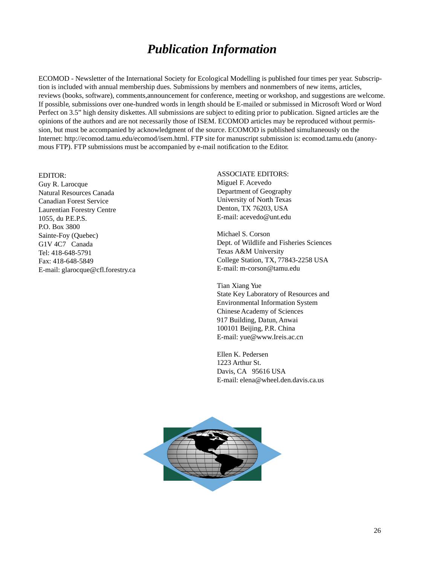# *Publication Information*

ECOMOD - Newsletter of the International Society for Ecological Modelling is published four times per year. Subscription is included with annual membership dues. Submissions by members and nonmembers of new items, articles, reviews (books, software), comments,announcement for conference, meeting or workshop, and suggestions are welcome. If possible, submissions over one-hundred words in length should be E-mailed or submissed in Microsoft Word or Word Perfect on 3.5" high density diskettes. All submissions are subject to editing prior to publication. Signed articles are the opinions of the authors and are not necessarily those of ISEM. ECOMOD articles may be reproduced without permission, but must be accompanied by acknowledgment of the source. ECOMOD is published simultaneously on the Internet: http://ecomod.tamu.edu/ecomod/isem.html. FTP site for manuscript submission is: ecomod.tamu.edu (anonymous FTP). FTP submissions must be accompanied by e-mail notification to the Editor.

#### EDITOR:

Guy R. Larocque Natural Resources Canada Canadian Forest Service Laurentian Forestry Centre 1055, du P.E.P.S. P.O. Box 3800 Sainte-Foy (Quebec) G1V 4C7 Canada Tel: 418-648-5791 Fax: 418-648-5849 E-mail: glarocque@cfl.forestry.ca ASSOCIATE EDITORS: Miguel F. Acevedo Department of Geography University of North Texas Denton, TX 76203, USA E-mail: acevedo@unt.edu

Michael S. Corson Dept. of Wildlife and Fisheries Sciences Texas A&M University College Station, TX, 77843-2258 USA E-mail: m-corson@tamu.edu

Tian Xiang Yue State Key Laboratory of Resources and Environmental Information System Chinese Academy of Sciences 917 Building, Datun, Anwai 100101 Beijing, P.R. China E-mail: yue@www.Ireis.ac.cn

Ellen K. Pedersen 1223 Arthur St. Davis, CA 95616 USA E-mail: elena@wheel.den.davis.ca.us